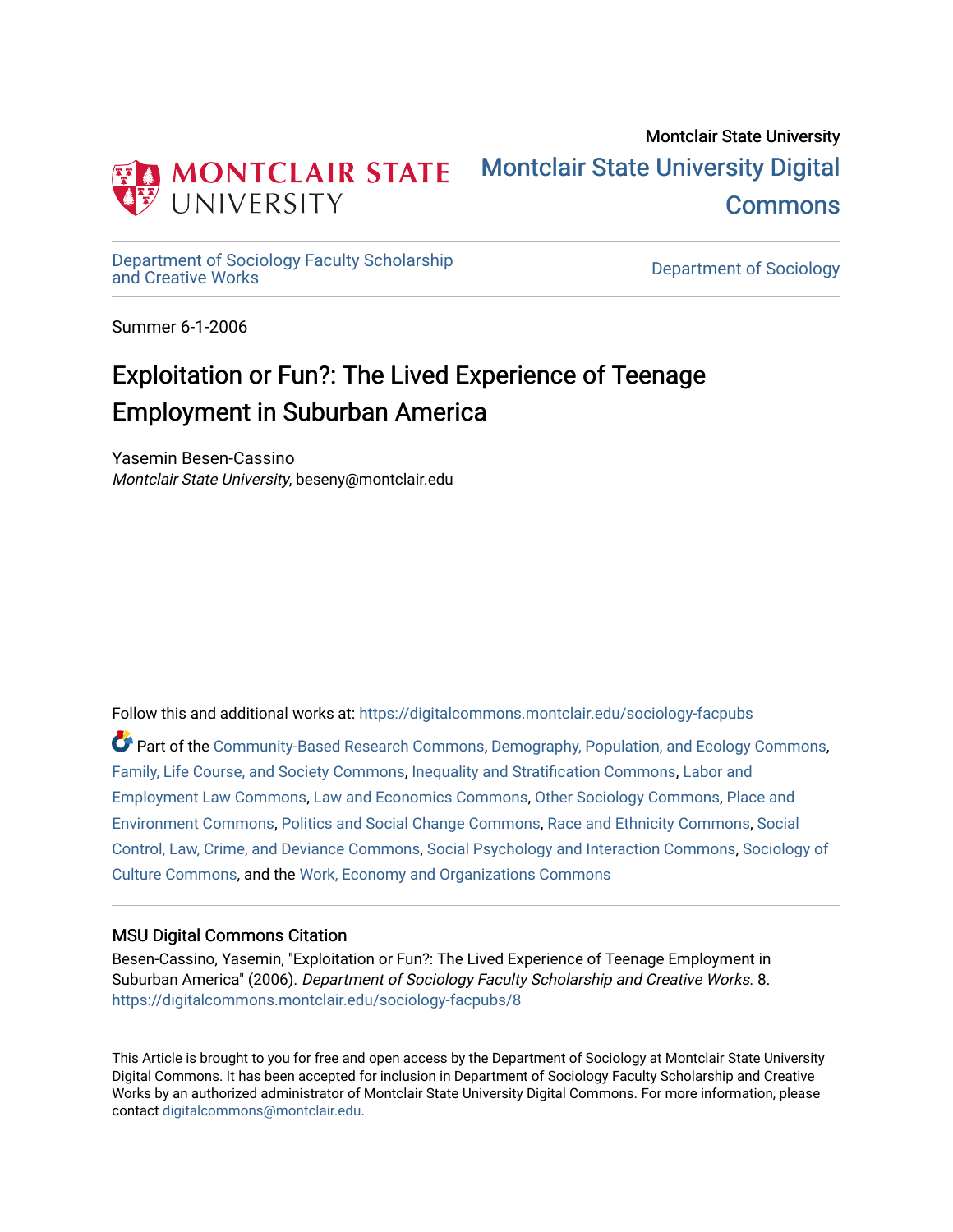

## Montclair State University [Montclair State University Digital](https://digitalcommons.montclair.edu/)  [Commons](https://digitalcommons.montclair.edu/)

[Department of Sociology Faculty Scholarship](https://digitalcommons.montclair.edu/sociology-facpubs)

Department of Sociology

Summer 6-1-2006

# Exploitation or Fun?: The Lived Experience of Teenage Employment in Suburban America

Yasemin Besen-Cassino Montclair State University, beseny@montclair.edu

Follow this and additional works at: [https://digitalcommons.montclair.edu/sociology-facpubs](https://digitalcommons.montclair.edu/sociology-facpubs?utm_source=digitalcommons.montclair.edu%2Fsociology-facpubs%2F8&utm_medium=PDF&utm_campaign=PDFCoverPages)

Part of the [Community-Based Research Commons](http://network.bepress.com/hgg/discipline/1047?utm_source=digitalcommons.montclair.edu%2Fsociology-facpubs%2F8&utm_medium=PDF&utm_campaign=PDFCoverPages), [Demography, Population, and Ecology Commons](http://network.bepress.com/hgg/discipline/418?utm_source=digitalcommons.montclair.edu%2Fsociology-facpubs%2F8&utm_medium=PDF&utm_campaign=PDFCoverPages), [Family, Life Course, and Society Commons](http://network.bepress.com/hgg/discipline/419?utm_source=digitalcommons.montclair.edu%2Fsociology-facpubs%2F8&utm_medium=PDF&utm_campaign=PDFCoverPages), [Inequality and Stratification Commons,](http://network.bepress.com/hgg/discipline/421?utm_source=digitalcommons.montclair.edu%2Fsociology-facpubs%2F8&utm_medium=PDF&utm_campaign=PDFCoverPages) [Labor and](http://network.bepress.com/hgg/discipline/909?utm_source=digitalcommons.montclair.edu%2Fsociology-facpubs%2F8&utm_medium=PDF&utm_campaign=PDFCoverPages)  [Employment Law Commons](http://network.bepress.com/hgg/discipline/909?utm_source=digitalcommons.montclair.edu%2Fsociology-facpubs%2F8&utm_medium=PDF&utm_campaign=PDFCoverPages), [Law and Economics Commons](http://network.bepress.com/hgg/discipline/612?utm_source=digitalcommons.montclair.edu%2Fsociology-facpubs%2F8&utm_medium=PDF&utm_campaign=PDFCoverPages), [Other Sociology Commons,](http://network.bepress.com/hgg/discipline/434?utm_source=digitalcommons.montclair.edu%2Fsociology-facpubs%2F8&utm_medium=PDF&utm_campaign=PDFCoverPages) [Place and](http://network.bepress.com/hgg/discipline/424?utm_source=digitalcommons.montclair.edu%2Fsociology-facpubs%2F8&utm_medium=PDF&utm_campaign=PDFCoverPages)  [Environment Commons](http://network.bepress.com/hgg/discipline/424?utm_source=digitalcommons.montclair.edu%2Fsociology-facpubs%2F8&utm_medium=PDF&utm_campaign=PDFCoverPages), [Politics and Social Change Commons](http://network.bepress.com/hgg/discipline/425?utm_source=digitalcommons.montclair.edu%2Fsociology-facpubs%2F8&utm_medium=PDF&utm_campaign=PDFCoverPages), [Race and Ethnicity Commons](http://network.bepress.com/hgg/discipline/426?utm_source=digitalcommons.montclair.edu%2Fsociology-facpubs%2F8&utm_medium=PDF&utm_campaign=PDFCoverPages), [Social](http://network.bepress.com/hgg/discipline/429?utm_source=digitalcommons.montclair.edu%2Fsociology-facpubs%2F8&utm_medium=PDF&utm_campaign=PDFCoverPages)  [Control, Law, Crime, and Deviance Commons](http://network.bepress.com/hgg/discipline/429?utm_source=digitalcommons.montclair.edu%2Fsociology-facpubs%2F8&utm_medium=PDF&utm_campaign=PDFCoverPages), [Social Psychology and Interaction Commons,](http://network.bepress.com/hgg/discipline/430?utm_source=digitalcommons.montclair.edu%2Fsociology-facpubs%2F8&utm_medium=PDF&utm_campaign=PDFCoverPages) [Sociology of](http://network.bepress.com/hgg/discipline/431?utm_source=digitalcommons.montclair.edu%2Fsociology-facpubs%2F8&utm_medium=PDF&utm_campaign=PDFCoverPages) [Culture Commons](http://network.bepress.com/hgg/discipline/431?utm_source=digitalcommons.montclair.edu%2Fsociology-facpubs%2F8&utm_medium=PDF&utm_campaign=PDFCoverPages), and the [Work, Economy and Organizations Commons](http://network.bepress.com/hgg/discipline/433?utm_source=digitalcommons.montclair.edu%2Fsociology-facpubs%2F8&utm_medium=PDF&utm_campaign=PDFCoverPages) 

#### MSU Digital Commons Citation

Besen-Cassino, Yasemin, "Exploitation or Fun?: The Lived Experience of Teenage Employment in Suburban America" (2006). Department of Sociology Faculty Scholarship and Creative Works. 8. [https://digitalcommons.montclair.edu/sociology-facpubs/8](https://digitalcommons.montclair.edu/sociology-facpubs/8?utm_source=digitalcommons.montclair.edu%2Fsociology-facpubs%2F8&utm_medium=PDF&utm_campaign=PDFCoverPages) 

This Article is brought to you for free and open access by the Department of Sociology at Montclair State University Digital Commons. It has been accepted for inclusion in Department of Sociology Faculty Scholarship and Creative Works by an authorized administrator of Montclair State University Digital Commons. For more information, please contact [digitalcommons@montclair.edu](mailto:digitalcommons@montclair.edu).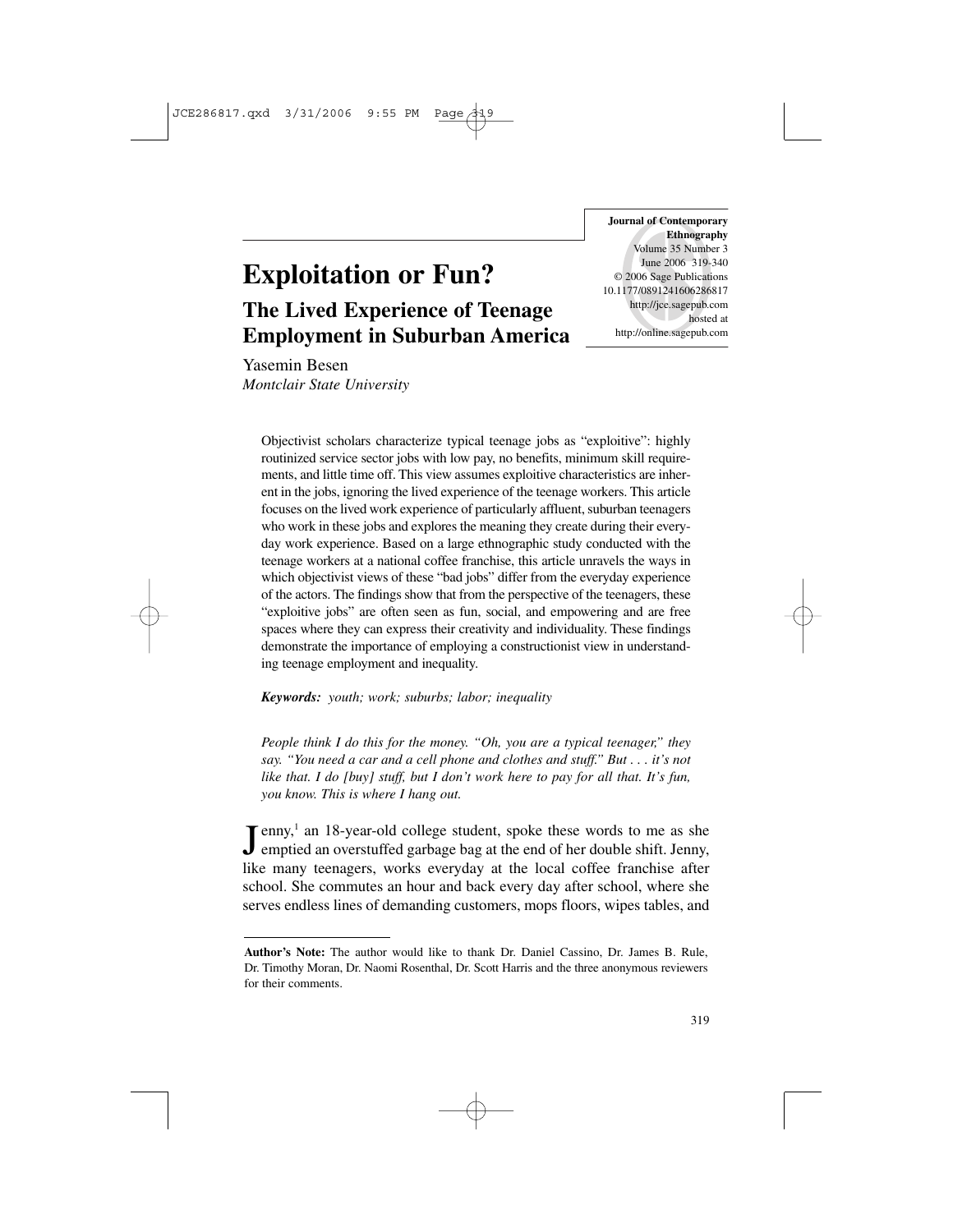### 319

**Exploitation or Fun?**

### **The Lived Experience of Teenage Employment in Suburban America**

Yasemin Besen *Montclair State University*

> Objectivist scholars characterize typical teenage jobs as "exploitive": highly routinized service sector jobs with low pay, no benefits, minimum skill requirements, and little time off. This view assumes exploitive characteristics are inherent in the jobs, ignoring the lived experience of the teenage workers. This article focuses on the lived work experience of particularly affluent, suburban teenagers who work in these jobs and explores the meaning they create during their everyday work experience. Based on a large ethnographic study conducted with the teenage workers at a national coffee franchise, this article unravels the ways in which objectivist views of these "bad jobs" differ from the everyday experience of the actors. The findings show that from the perspective of the teenagers, these "exploitive jobs" are often seen as fun, social, and empowering and are free spaces where they can express their creativity and individuality. These findings demonstrate the importance of employing a constructionist view in understanding teenage employment and inequality.

*Keywords: youth; work; suburbs; labor; inequality*

*People think I do this for the money. "Oh, you are a typical teenager," they say. "You need a car and a cell phone and clothes and stuff." But . . . it's not like that. I do [buy] stuff, but I don't work here to pay for all that. It's fun, you know. This is where I hang out.*

J enny,<sup>1</sup> an 18-year-old college student, spoke these words to me as she emptied an overstuffed garbage bag at the end of her double shift. Jenny, like many teenagers, works everyday at the local coffee franchise after school. She commutes an hour and back every day after school, where she serves endless lines of demanding customers, mops floors, wipes tables, and

**Journal of Contemporary Ethnography** Volume 35 Number 3 June 2006 319-340 © 2006 Sage Publications 10.1177/0891241606286817 http://jce.sagepub.com hosted at http://online.sagepub.com

**Author's Note:** The author would like to thank Dr. Daniel Cassino, Dr. James B. Rule, Dr. Timothy Moran, Dr. Naomi Rosenthal, Dr. Scott Harris and the three anonymous reviewers for their comments.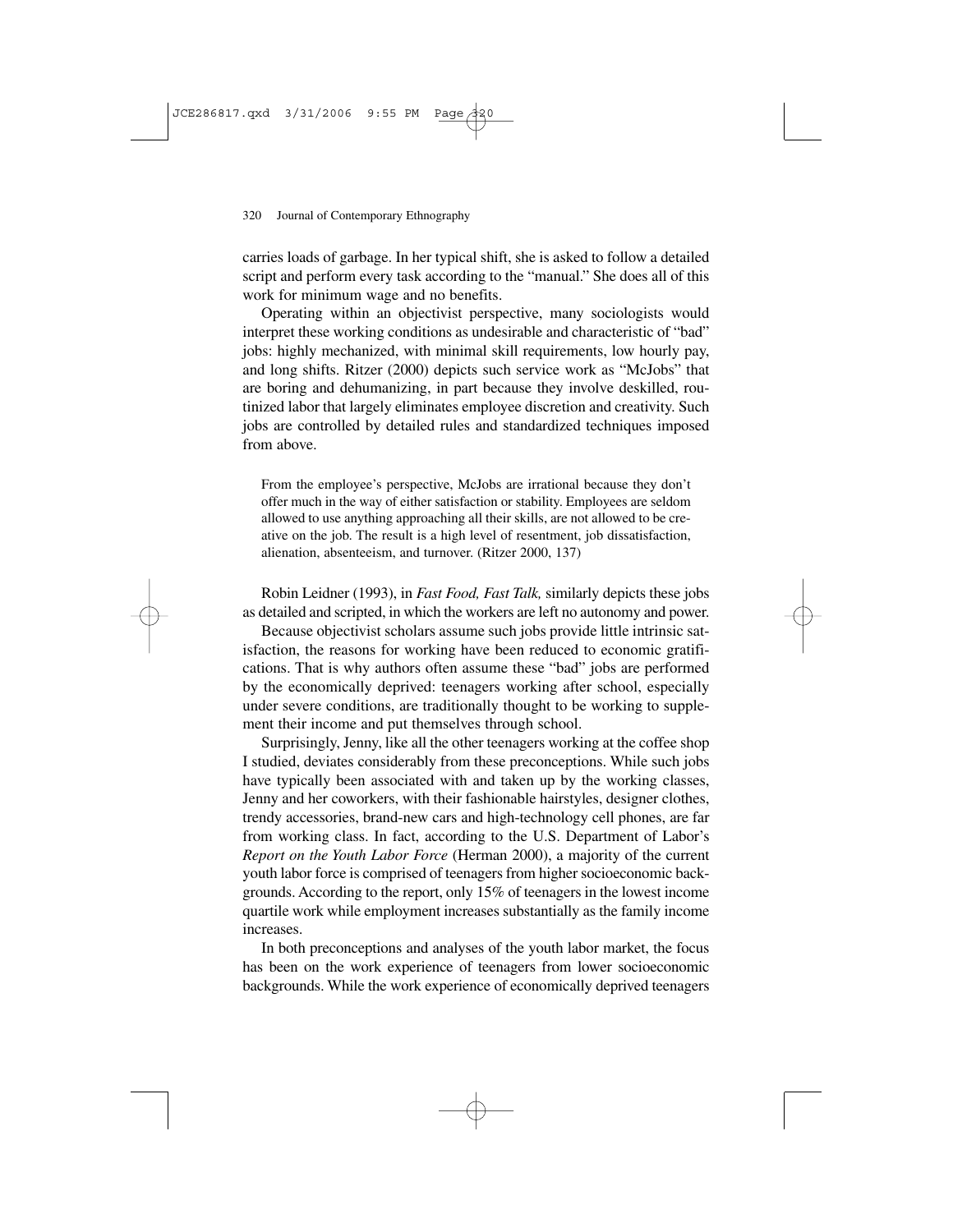carries loads of garbage. In her typical shift, she is asked to follow a detailed script and perform every task according to the "manual." She does all of this work for minimum wage and no benefits.

Operating within an objectivist perspective, many sociologists would interpret these working conditions as undesirable and characteristic of "bad" jobs: highly mechanized, with minimal skill requirements, low hourly pay, and long shifts. Ritzer (2000) depicts such service work as "McJobs" that are boring and dehumanizing, in part because they involve deskilled, routinized labor that largely eliminates employee discretion and creativity. Such jobs are controlled by detailed rules and standardized techniques imposed from above.

From the employee's perspective, McJobs are irrational because they don't offer much in the way of either satisfaction or stability. Employees are seldom allowed to use anything approaching all their skills, are not allowed to be creative on the job. The result is a high level of resentment, job dissatisfaction, alienation, absenteeism, and turnover. (Ritzer 2000, 137)

Robin Leidner (1993), in *Fast Food, Fast Talk,* similarly depicts these jobs as detailed and scripted, in which the workers are left no autonomy and power.

Because objectivist scholars assume such jobs provide little intrinsic satisfaction, the reasons for working have been reduced to economic gratifications. That is why authors often assume these "bad" jobs are performed by the economically deprived: teenagers working after school, especially under severe conditions, are traditionally thought to be working to supplement their income and put themselves through school.

Surprisingly, Jenny, like all the other teenagers working at the coffee shop I studied, deviates considerably from these preconceptions. While such jobs have typically been associated with and taken up by the working classes, Jenny and her coworkers, with their fashionable hairstyles, designer clothes, trendy accessories, brand-new cars and high-technology cell phones, are far from working class. In fact, according to the U.S. Department of Labor's *Report on the Youth Labor Force* (Herman 2000), a majority of the current youth labor force is comprised of teenagers from higher socioeconomic backgrounds. According to the report, only 15% of teenagers in the lowest income quartile work while employment increases substantially as the family income increases.

In both preconceptions and analyses of the youth labor market, the focus has been on the work experience of teenagers from lower socioeconomic backgrounds. While the work experience of economically deprived teenagers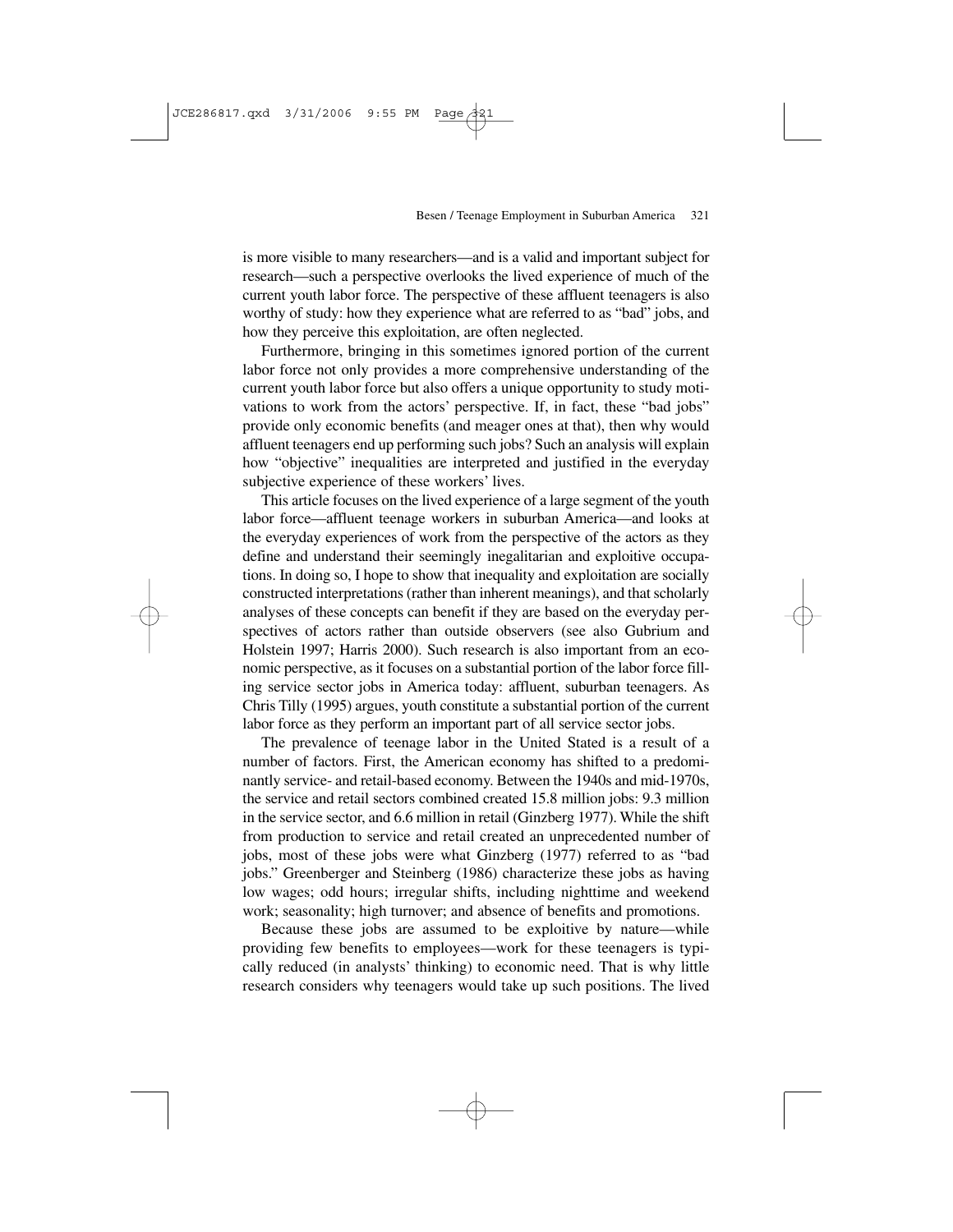is more visible to many researchers—and is a valid and important subject for research—such a perspective overlooks the lived experience of much of the current youth labor force. The perspective of these affluent teenagers is also worthy of study: how they experience what are referred to as "bad" jobs, and how they perceive this exploitation, are often neglected.

Furthermore, bringing in this sometimes ignored portion of the current labor force not only provides a more comprehensive understanding of the current youth labor force but also offers a unique opportunity to study motivations to work from the actors' perspective. If, in fact, these "bad jobs" provide only economic benefits (and meager ones at that), then why would affluent teenagers end up performing such jobs? Such an analysis will explain how "objective" inequalities are interpreted and justified in the everyday subjective experience of these workers' lives.

This article focuses on the lived experience of a large segment of the youth labor force—affluent teenage workers in suburban America—and looks at the everyday experiences of work from the perspective of the actors as they define and understand their seemingly inegalitarian and exploitive occupations. In doing so, I hope to show that inequality and exploitation are socially constructed interpretations (rather than inherent meanings), and that scholarly analyses of these concepts can benefit if they are based on the everyday perspectives of actors rather than outside observers (see also Gubrium and Holstein 1997; Harris 2000). Such research is also important from an economic perspective, as it focuses on a substantial portion of the labor force filling service sector jobs in America today: affluent, suburban teenagers. As Chris Tilly (1995) argues, youth constitute a substantial portion of the current labor force as they perform an important part of all service sector jobs.

The prevalence of teenage labor in the United Stated is a result of a number of factors. First, the American economy has shifted to a predominantly service- and retail-based economy. Between the 1940s and mid-1970s, the service and retail sectors combined created 15.8 million jobs: 9.3 million in the service sector, and 6.6 million in retail (Ginzberg 1977). While the shift from production to service and retail created an unprecedented number of jobs, most of these jobs were what Ginzberg (1977) referred to as "bad jobs." Greenberger and Steinberg (1986) characterize these jobs as having low wages; odd hours; irregular shifts, including nighttime and weekend work; seasonality; high turnover; and absence of benefits and promotions.

Because these jobs are assumed to be exploitive by nature—while providing few benefits to employees—work for these teenagers is typically reduced (in analysts' thinking) to economic need. That is why little research considers why teenagers would take up such positions. The lived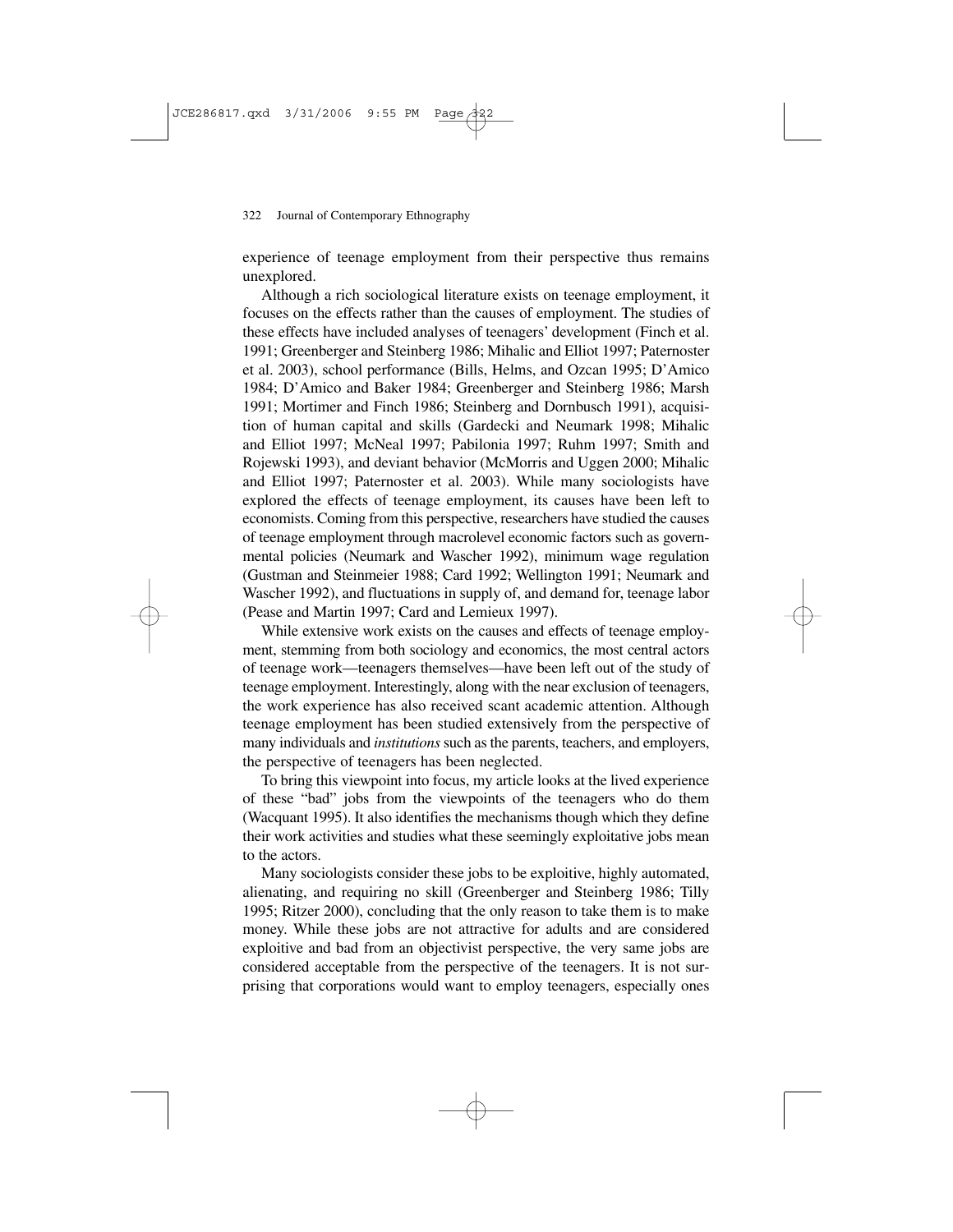experience of teenage employment from their perspective thus remains unexplored.

Although a rich sociological literature exists on teenage employment, it focuses on the effects rather than the causes of employment. The studies of these effects have included analyses of teenagers' development (Finch et al. 1991; Greenberger and Steinberg 1986; Mihalic and Elliot 1997; Paternoster et al. 2003), school performance (Bills, Helms, and Ozcan 1995; D'Amico 1984; D'Amico and Baker 1984; Greenberger and Steinberg 1986; Marsh 1991; Mortimer and Finch 1986; Steinberg and Dornbusch 1991), acquisition of human capital and skills (Gardecki and Neumark 1998; Mihalic and Elliot 1997; McNeal 1997; Pabilonia 1997; Ruhm 1997; Smith and Rojewski 1993), and deviant behavior (McMorris and Uggen 2000; Mihalic and Elliot 1997; Paternoster et al. 2003). While many sociologists have explored the effects of teenage employment, its causes have been left to economists. Coming from this perspective, researchers have studied the causes of teenage employment through macrolevel economic factors such as governmental policies (Neumark and Wascher 1992), minimum wage regulation (Gustman and Steinmeier 1988; Card 1992; Wellington 1991; Neumark and Wascher 1992), and fluctuations in supply of, and demand for, teenage labor (Pease and Martin 1997; Card and Lemieux 1997).

While extensive work exists on the causes and effects of teenage employment, stemming from both sociology and economics, the most central actors of teenage work—teenagers themselves—have been left out of the study of teenage employment. Interestingly, along with the near exclusion of teenagers, the work experience has also received scant academic attention. Although teenage employment has been studied extensively from the perspective of many individuals and *institutions* such as the parents, teachers, and employers, the perspective of teenagers has been neglected.

To bring this viewpoint into focus, my article looks at the lived experience of these "bad" jobs from the viewpoints of the teenagers who do them (Wacquant 1995). It also identifies the mechanisms though which they define their work activities and studies what these seemingly exploitative jobs mean to the actors.

Many sociologists consider these jobs to be exploitive, highly automated, alienating, and requiring no skill (Greenberger and Steinberg 1986; Tilly 1995; Ritzer 2000), concluding that the only reason to take them is to make money. While these jobs are not attractive for adults and are considered exploitive and bad from an objectivist perspective, the very same jobs are considered acceptable from the perspective of the teenagers. It is not surprising that corporations would want to employ teenagers, especially ones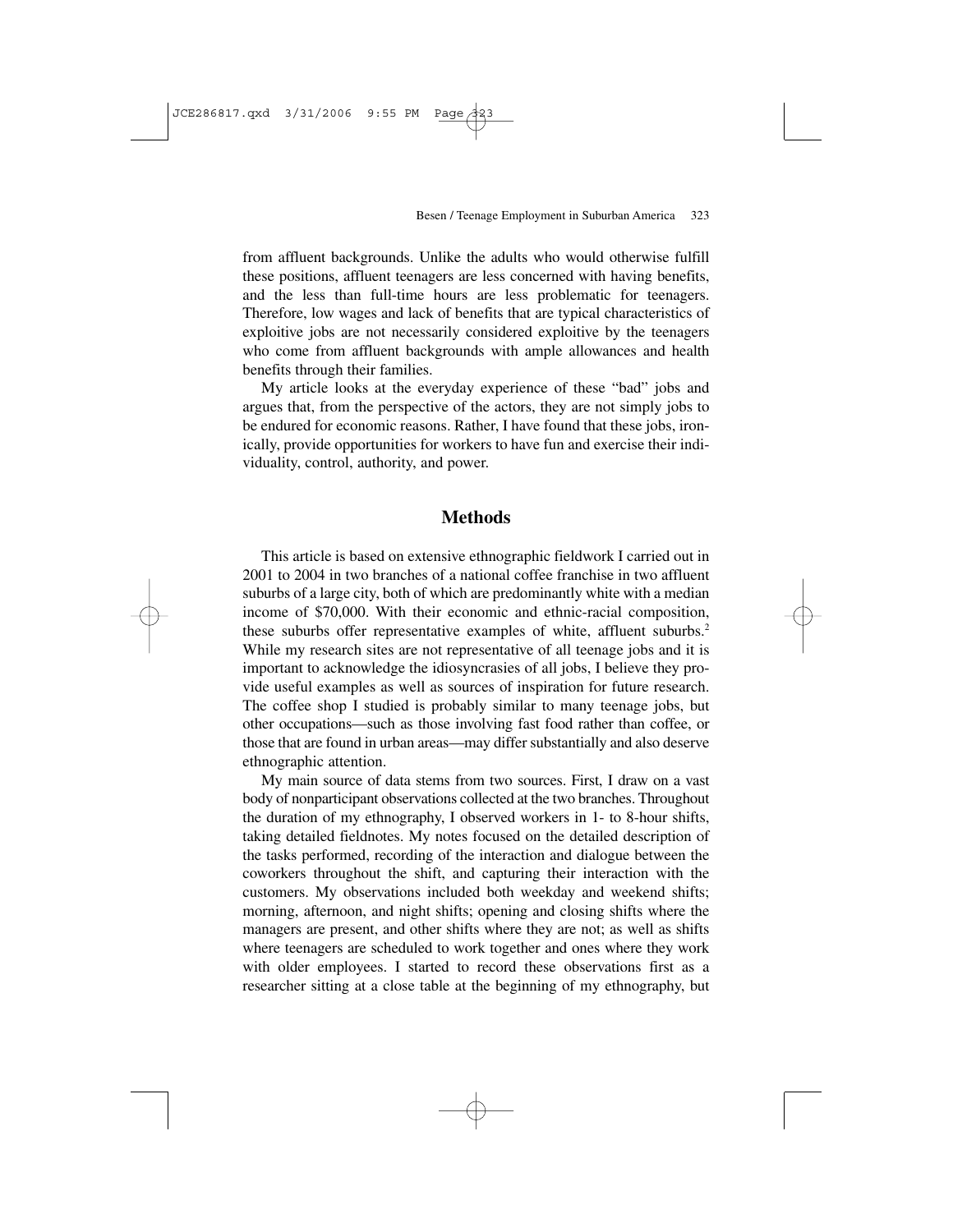from affluent backgrounds. Unlike the adults who would otherwise fulfill these positions, affluent teenagers are less concerned with having benefits, and the less than full-time hours are less problematic for teenagers. Therefore, low wages and lack of benefits that are typical characteristics of exploitive jobs are not necessarily considered exploitive by the teenagers who come from affluent backgrounds with ample allowances and health benefits through their families.

My article looks at the everyday experience of these "bad" jobs and argues that, from the perspective of the actors, they are not simply jobs to be endured for economic reasons. Rather, I have found that these jobs, ironically, provide opportunities for workers to have fun and exercise their individuality, control, authority, and power.

#### **Methods**

This article is based on extensive ethnographic fieldwork I carried out in 2001 to 2004 in two branches of a national coffee franchise in two affluent suburbs of a large city, both of which are predominantly white with a median income of \$70,000. With their economic and ethnic-racial composition, these suburbs offer representative examples of white, affluent suburbs.<sup>2</sup> While my research sites are not representative of all teenage jobs and it is important to acknowledge the idiosyncrasies of all jobs, I believe they provide useful examples as well as sources of inspiration for future research. The coffee shop I studied is probably similar to many teenage jobs, but other occupations—such as those involving fast food rather than coffee, or those that are found in urban areas—may differ substantially and also deserve ethnographic attention.

My main source of data stems from two sources. First, I draw on a vast body of nonparticipant observations collected at the two branches. Throughout the duration of my ethnography, I observed workers in 1- to 8-hour shifts, taking detailed fieldnotes. My notes focused on the detailed description of the tasks performed, recording of the interaction and dialogue between the coworkers throughout the shift, and capturing their interaction with the customers. My observations included both weekday and weekend shifts; morning, afternoon, and night shifts; opening and closing shifts where the managers are present, and other shifts where they are not; as well as shifts where teenagers are scheduled to work together and ones where they work with older employees. I started to record these observations first as a researcher sitting at a close table at the beginning of my ethnography, but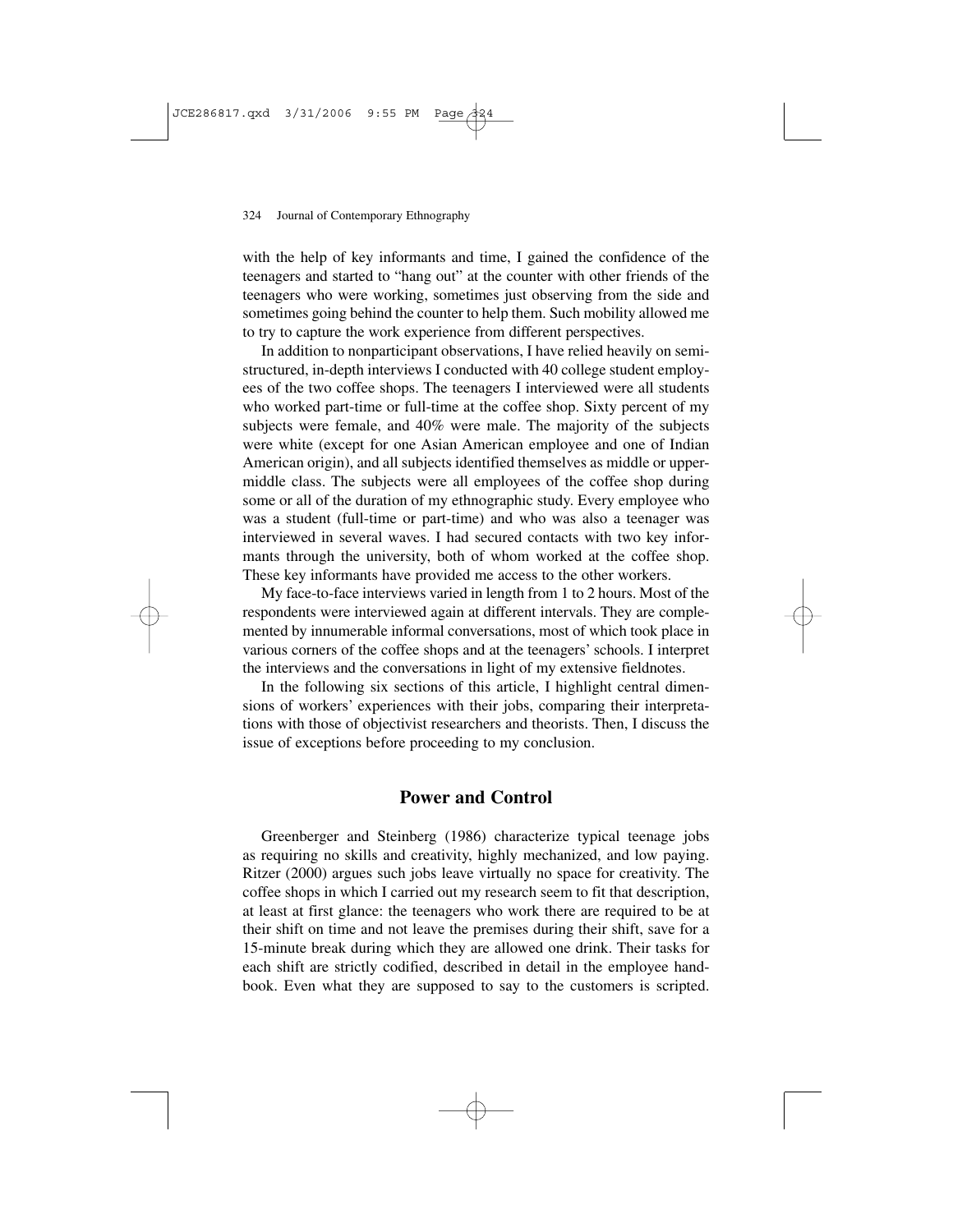with the help of key informants and time, I gained the confidence of the teenagers and started to "hang out" at the counter with other friends of the teenagers who were working, sometimes just observing from the side and sometimes going behind the counter to help them. Such mobility allowed me to try to capture the work experience from different perspectives.

In addition to nonparticipant observations, I have relied heavily on semistructured, in-depth interviews I conducted with 40 college student employees of the two coffee shops. The teenagers I interviewed were all students who worked part-time or full-time at the coffee shop. Sixty percent of my subjects were female, and 40% were male. The majority of the subjects were white (except for one Asian American employee and one of Indian American origin), and all subjects identified themselves as middle or uppermiddle class. The subjects were all employees of the coffee shop during some or all of the duration of my ethnographic study. Every employee who was a student (full-time or part-time) and who was also a teenager was interviewed in several waves. I had secured contacts with two key informants through the university, both of whom worked at the coffee shop. These key informants have provided me access to the other workers.

My face-to-face interviews varied in length from 1 to 2 hours. Most of the respondents were interviewed again at different intervals. They are complemented by innumerable informal conversations, most of which took place in various corners of the coffee shops and at the teenagers' schools. I interpret the interviews and the conversations in light of my extensive fieldnotes.

In the following six sections of this article, I highlight central dimensions of workers' experiences with their jobs, comparing their interpretations with those of objectivist researchers and theorists. Then, I discuss the issue of exceptions before proceeding to my conclusion.

#### **Power and Control**

Greenberger and Steinberg (1986) characterize typical teenage jobs as requiring no skills and creativity, highly mechanized, and low paying. Ritzer (2000) argues such jobs leave virtually no space for creativity. The coffee shops in which I carried out my research seem to fit that description, at least at first glance: the teenagers who work there are required to be at their shift on time and not leave the premises during their shift, save for a 15-minute break during which they are allowed one drink. Their tasks for each shift are strictly codified, described in detail in the employee handbook. Even what they are supposed to say to the customers is scripted.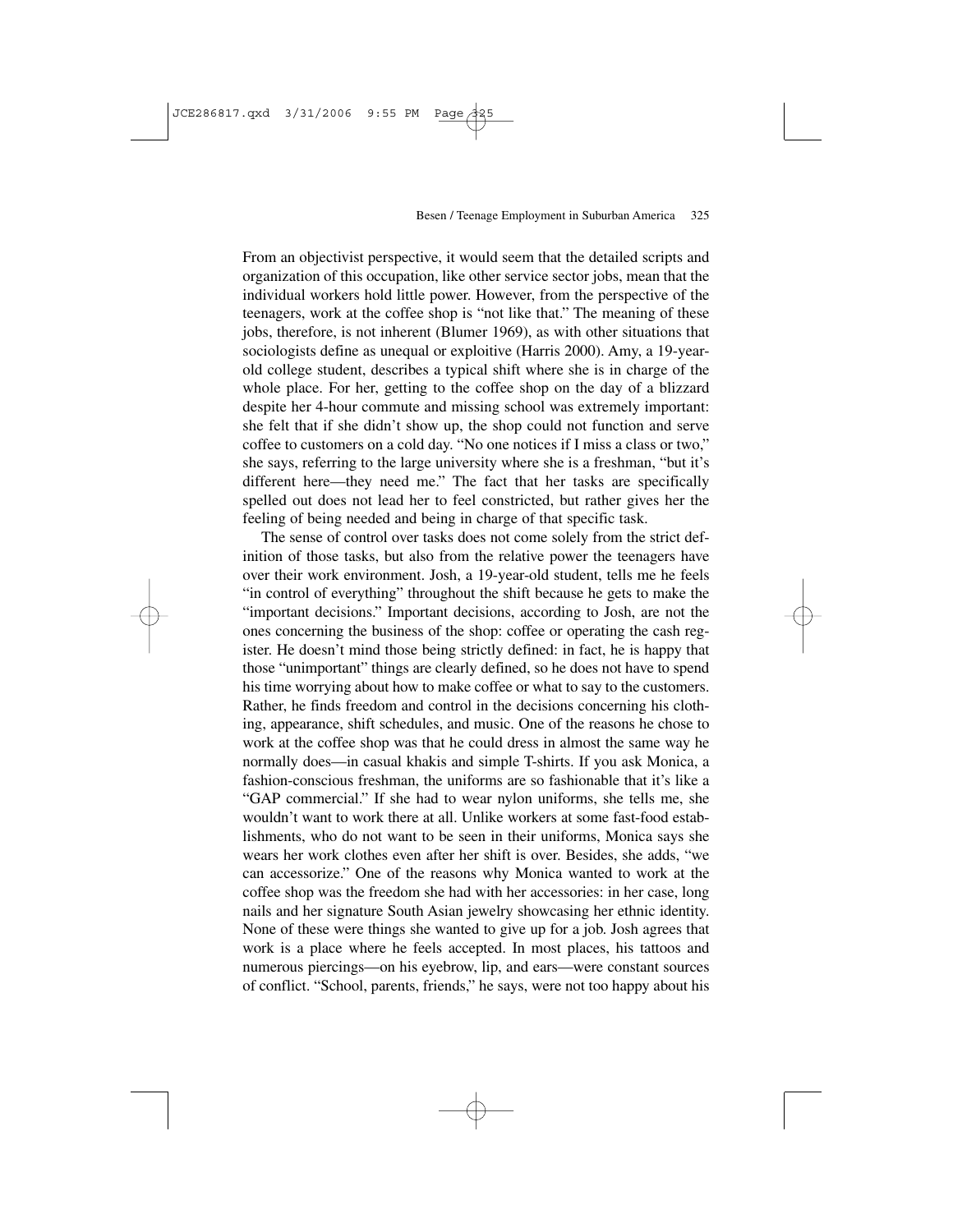From an objectivist perspective, it would seem that the detailed scripts and organization of this occupation, like other service sector jobs, mean that the individual workers hold little power. However, from the perspective of the teenagers, work at the coffee shop is "not like that." The meaning of these jobs, therefore, is not inherent (Blumer 1969), as with other situations that sociologists define as unequal or exploitive (Harris 2000). Amy, a 19-yearold college student, describes a typical shift where she is in charge of the whole place. For her, getting to the coffee shop on the day of a blizzard despite her 4-hour commute and missing school was extremely important: she felt that if she didn't show up, the shop could not function and serve coffee to customers on a cold day. "No one notices if I miss a class or two," she says, referring to the large university where she is a freshman, "but it's different here—they need me." The fact that her tasks are specifically spelled out does not lead her to feel constricted, but rather gives her the feeling of being needed and being in charge of that specific task.

The sense of control over tasks does not come solely from the strict definition of those tasks, but also from the relative power the teenagers have over their work environment. Josh, a 19-year-old student, tells me he feels "in control of everything" throughout the shift because he gets to make the "important decisions." Important decisions, according to Josh, are not the ones concerning the business of the shop: coffee or operating the cash register. He doesn't mind those being strictly defined: in fact, he is happy that those "unimportant" things are clearly defined, so he does not have to spend his time worrying about how to make coffee or what to say to the customers. Rather, he finds freedom and control in the decisions concerning his clothing, appearance, shift schedules, and music. One of the reasons he chose to work at the coffee shop was that he could dress in almost the same way he normally does—in casual khakis and simple T-shirts. If you ask Monica, a fashion-conscious freshman, the uniforms are so fashionable that it's like a "GAP commercial." If she had to wear nylon uniforms, she tells me, she wouldn't want to work there at all. Unlike workers at some fast-food establishments, who do not want to be seen in their uniforms, Monica says she wears her work clothes even after her shift is over. Besides, she adds, "we can accessorize." One of the reasons why Monica wanted to work at the coffee shop was the freedom she had with her accessories: in her case, long nails and her signature South Asian jewelry showcasing her ethnic identity. None of these were things she wanted to give up for a job. Josh agrees that work is a place where he feels accepted. In most places, his tattoos and numerous piercings—on his eyebrow, lip, and ears—were constant sources of conflict. "School, parents, friends," he says, were not too happy about his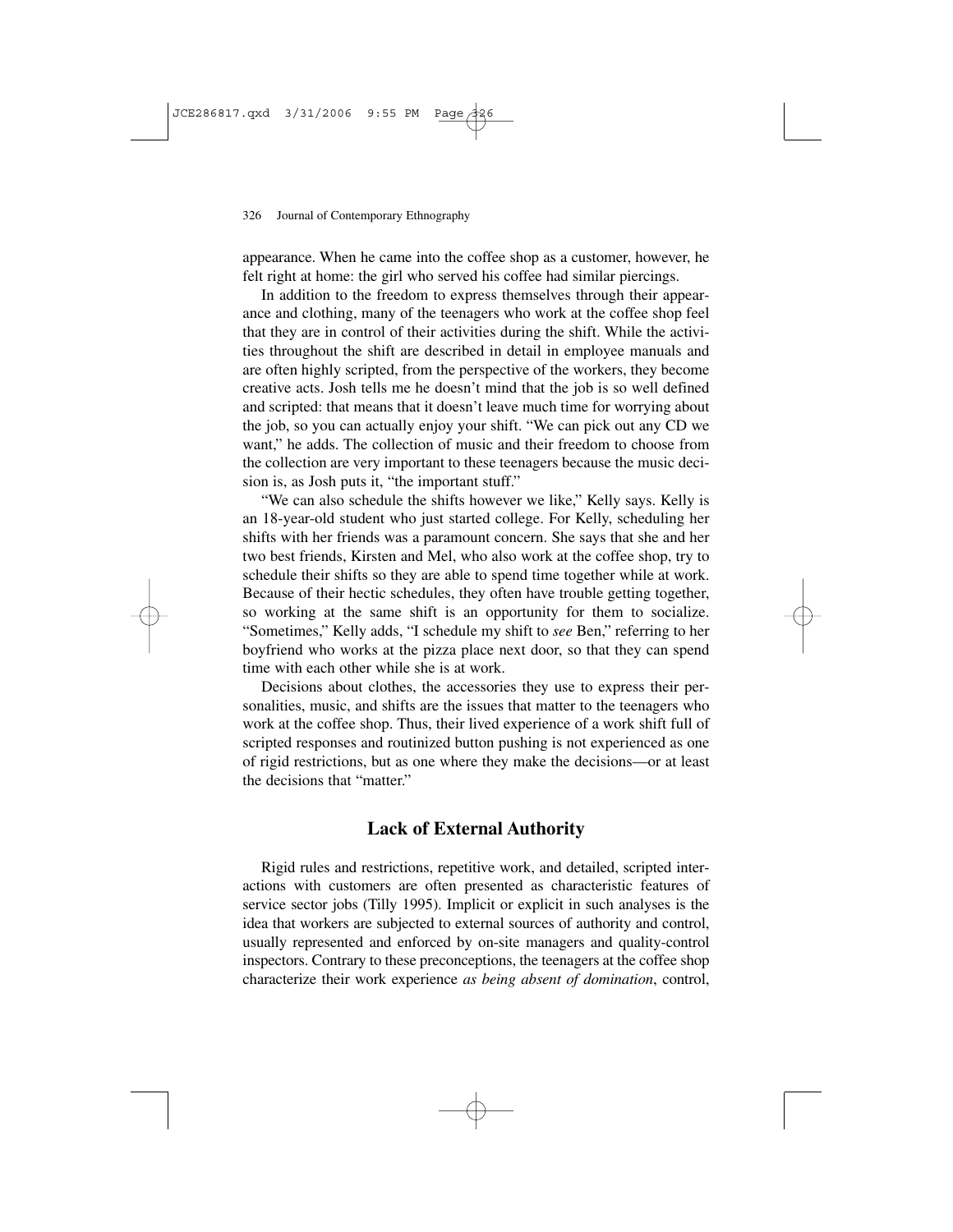appearance. When he came into the coffee shop as a customer, however, he felt right at home: the girl who served his coffee had similar piercings.

In addition to the freedom to express themselves through their appearance and clothing, many of the teenagers who work at the coffee shop feel that they are in control of their activities during the shift. While the activities throughout the shift are described in detail in employee manuals and are often highly scripted, from the perspective of the workers, they become creative acts. Josh tells me he doesn't mind that the job is so well defined and scripted: that means that it doesn't leave much time for worrying about the job, so you can actually enjoy your shift. "We can pick out any CD we want," he adds. The collection of music and their freedom to choose from the collection are very important to these teenagers because the music decision is, as Josh puts it, "the important stuff."

"We can also schedule the shifts however we like," Kelly says. Kelly is an 18-year-old student who just started college. For Kelly, scheduling her shifts with her friends was a paramount concern. She says that she and her two best friends, Kirsten and Mel, who also work at the coffee shop, try to schedule their shifts so they are able to spend time together while at work. Because of their hectic schedules, they often have trouble getting together, so working at the same shift is an opportunity for them to socialize. "Sometimes," Kelly adds, "I schedule my shift to *see* Ben," referring to her boyfriend who works at the pizza place next door, so that they can spend time with each other while she is at work.

Decisions about clothes, the accessories they use to express their personalities, music, and shifts are the issues that matter to the teenagers who work at the coffee shop. Thus, their lived experience of a work shift full of scripted responses and routinized button pushing is not experienced as one of rigid restrictions, but as one where they make the decisions—or at least the decisions that "matter."

#### **Lack of External Authority**

Rigid rules and restrictions, repetitive work, and detailed, scripted interactions with customers are often presented as characteristic features of service sector jobs (Tilly 1995). Implicit or explicit in such analyses is the idea that workers are subjected to external sources of authority and control, usually represented and enforced by on-site managers and quality-control inspectors. Contrary to these preconceptions, the teenagers at the coffee shop characterize their work experience *as being absent of domination*, control,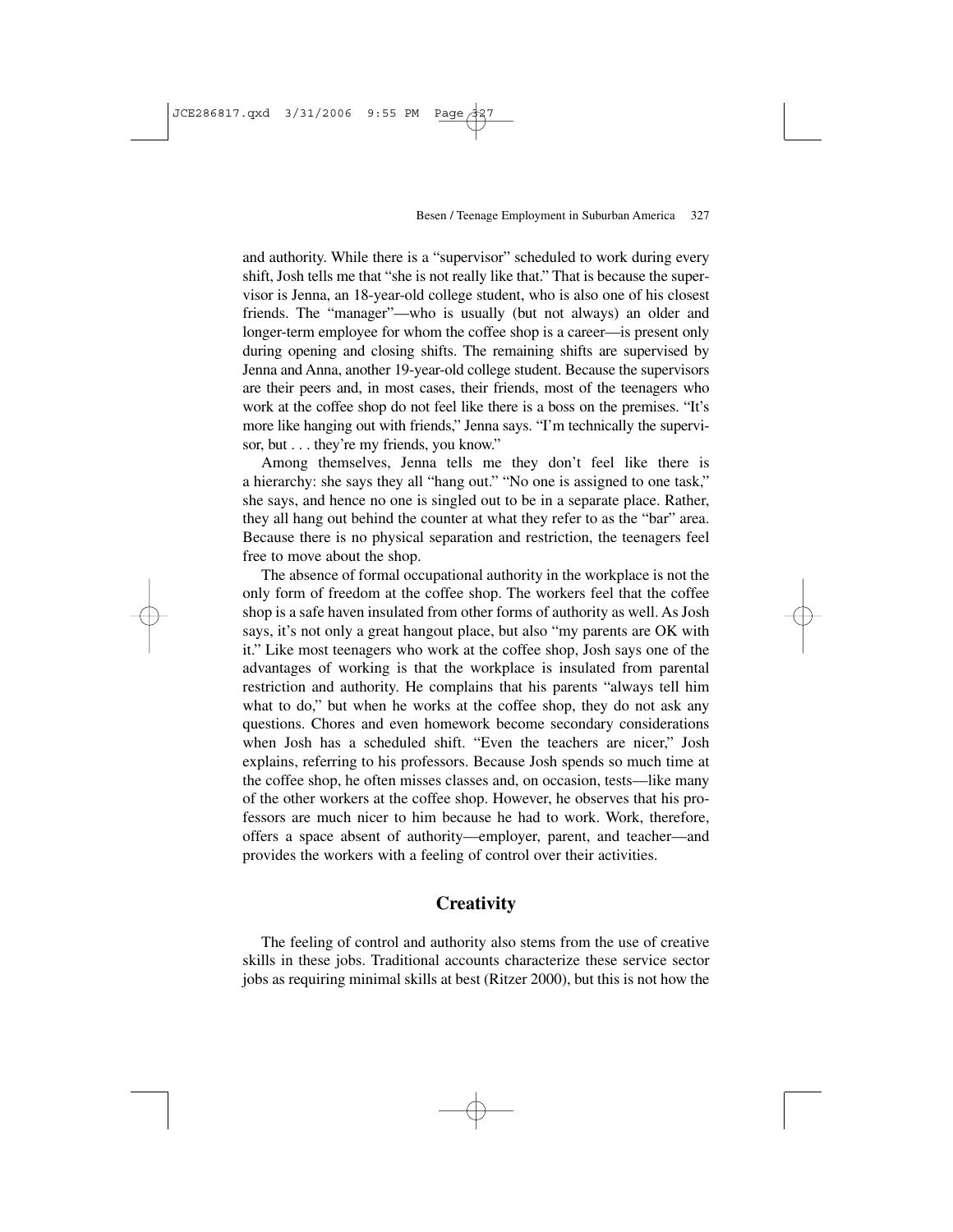and authority. While there is a "supervisor" scheduled to work during every shift, Josh tells me that "she is not really like that." That is because the supervisor is Jenna, an 18-year-old college student, who is also one of his closest friends. The "manager"—who is usually (but not always) an older and longer-term employee for whom the coffee shop is a career—is present only during opening and closing shifts. The remaining shifts are supervised by Jenna and Anna, another 19-year-old college student. Because the supervisors are their peers and, in most cases, their friends, most of the teenagers who work at the coffee shop do not feel like there is a boss on the premises. "It's more like hanging out with friends," Jenna says. "I'm technically the supervisor, but . . . they're my friends, you know."

Among themselves, Jenna tells me they don't feel like there is a hierarchy: she says they all "hang out." "No one is assigned to one task," she says, and hence no one is singled out to be in a separate place. Rather, they all hang out behind the counter at what they refer to as the "bar" area. Because there is no physical separation and restriction, the teenagers feel free to move about the shop.

The absence of formal occupational authority in the workplace is not the only form of freedom at the coffee shop. The workers feel that the coffee shop is a safe haven insulated from other forms of authority as well. As Josh says, it's not only a great hangout place, but also "my parents are OK with it." Like most teenagers who work at the coffee shop, Josh says one of the advantages of working is that the workplace is insulated from parental restriction and authority. He complains that his parents "always tell him what to do," but when he works at the coffee shop, they do not ask any questions. Chores and even homework become secondary considerations when Josh has a scheduled shift. "Even the teachers are nicer," Josh explains, referring to his professors. Because Josh spends so much time at the coffee shop, he often misses classes and, on occasion, tests—like many of the other workers at the coffee shop. However, he observes that his professors are much nicer to him because he had to work. Work, therefore, offers a space absent of authority—employer, parent, and teacher—and provides the workers with a feeling of control over their activities.

#### **Creativity**

The feeling of control and authority also stems from the use of creative skills in these jobs. Traditional accounts characterize these service sector jobs as requiring minimal skills at best (Ritzer 2000), but this is not how the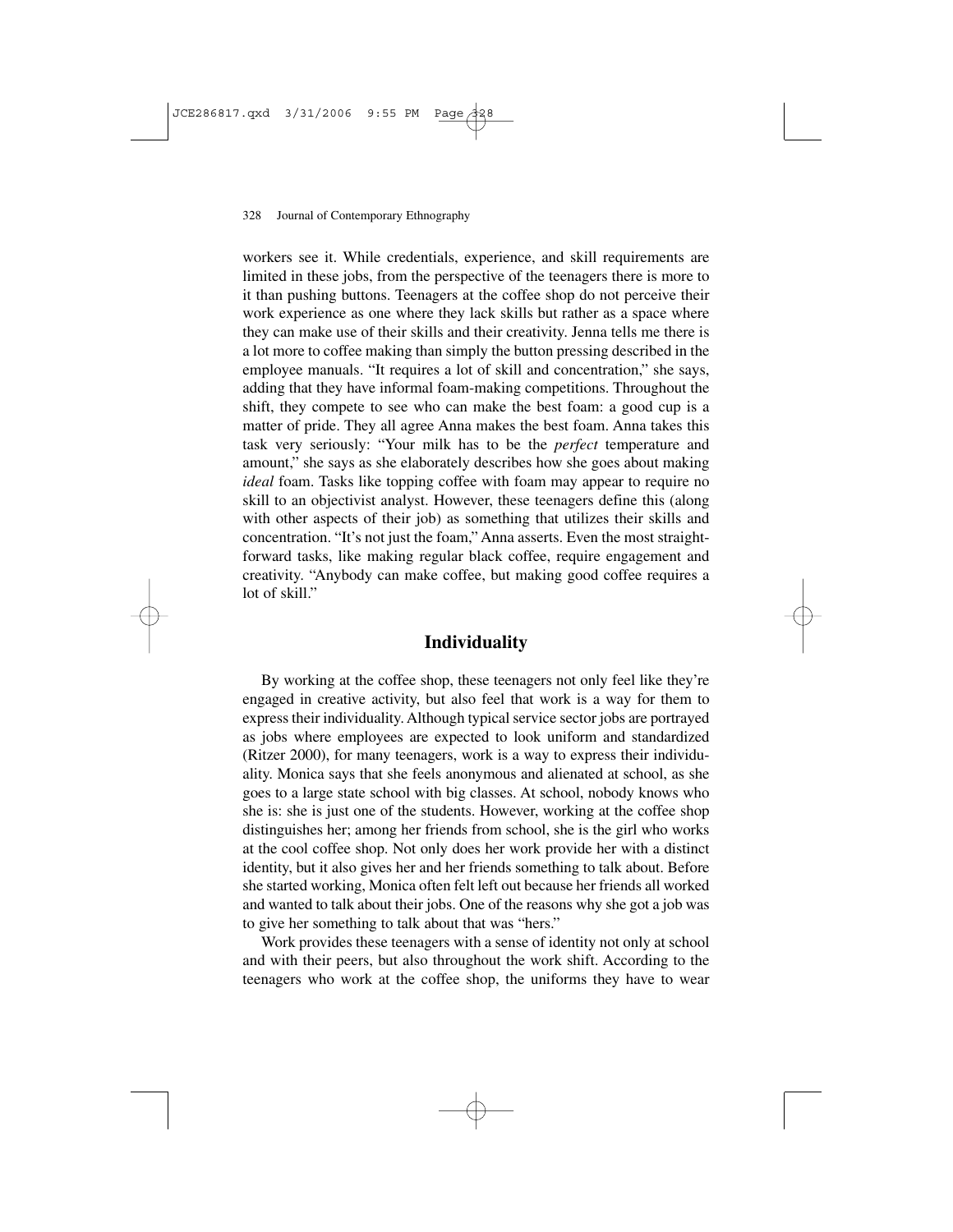workers see it. While credentials, experience, and skill requirements are limited in these jobs, from the perspective of the teenagers there is more to it than pushing buttons. Teenagers at the coffee shop do not perceive their work experience as one where they lack skills but rather as a space where they can make use of their skills and their creativity. Jenna tells me there is a lot more to coffee making than simply the button pressing described in the employee manuals. "It requires a lot of skill and concentration," she says, adding that they have informal foam-making competitions. Throughout the shift, they compete to see who can make the best foam: a good cup is a matter of pride. They all agree Anna makes the best foam. Anna takes this task very seriously: "Your milk has to be the *perfect* temperature and amount," she says as she elaborately describes how she goes about making *ideal* foam. Tasks like topping coffee with foam may appear to require no skill to an objectivist analyst. However, these teenagers define this (along with other aspects of their job) as something that utilizes their skills and concentration. "It's not just the foam," Anna asserts. Even the most straightforward tasks, like making regular black coffee, require engagement and creativity. "Anybody can make coffee, but making good coffee requires a lot of skill."

#### **Individuality**

By working at the coffee shop, these teenagers not only feel like they're engaged in creative activity, but also feel that work is a way for them to express their individuality. Although typical service sector jobs are portrayed as jobs where employees are expected to look uniform and standardized (Ritzer 2000), for many teenagers, work is a way to express their individuality. Monica says that she feels anonymous and alienated at school, as she goes to a large state school with big classes. At school, nobody knows who she is: she is just one of the students. However, working at the coffee shop distinguishes her; among her friends from school, she is the girl who works at the cool coffee shop. Not only does her work provide her with a distinct identity, but it also gives her and her friends something to talk about. Before she started working, Monica often felt left out because her friends all worked and wanted to talk about their jobs. One of the reasons why she got a job was to give her something to talk about that was "hers."

Work provides these teenagers with a sense of identity not only at school and with their peers, but also throughout the work shift. According to the teenagers who work at the coffee shop, the uniforms they have to wear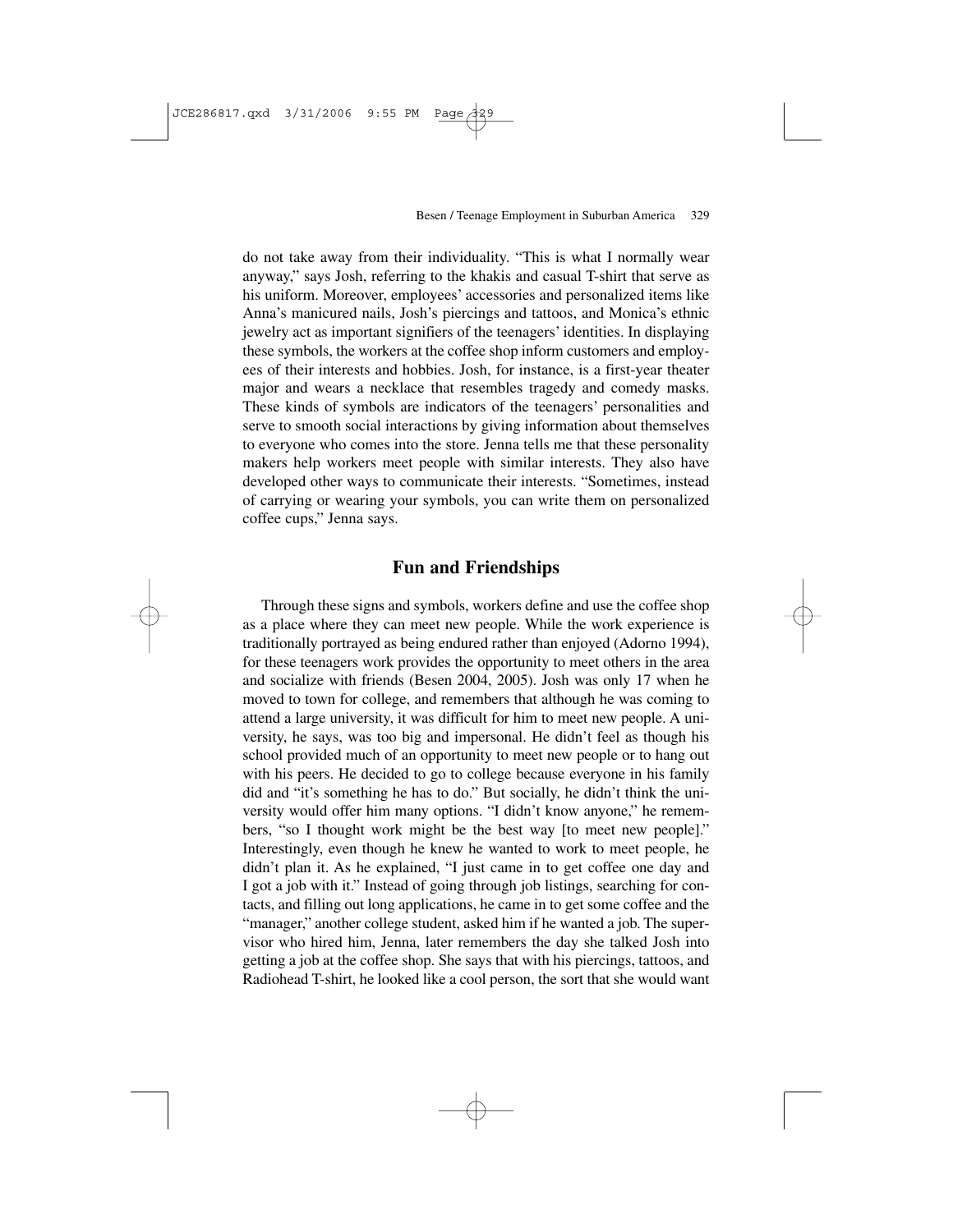do not take away from their individuality. "This is what I normally wear anyway," says Josh, referring to the khakis and casual T-shirt that serve as his uniform. Moreover, employees' accessories and personalized items like Anna's manicured nails, Josh's piercings and tattoos, and Monica's ethnic jewelry act as important signifiers of the teenagers' identities. In displaying these symbols, the workers at the coffee shop inform customers and employees of their interests and hobbies. Josh, for instance, is a first-year theater major and wears a necklace that resembles tragedy and comedy masks. These kinds of symbols are indicators of the teenagers' personalities and serve to smooth social interactions by giving information about themselves to everyone who comes into the store. Jenna tells me that these personality makers help workers meet people with similar interests. They also have developed other ways to communicate their interests. "Sometimes, instead of carrying or wearing your symbols, you can write them on personalized coffee cups," Jenna says.

#### **Fun and Friendships**

Through these signs and symbols, workers define and use the coffee shop as a place where they can meet new people. While the work experience is traditionally portrayed as being endured rather than enjoyed (Adorno 1994), for these teenagers work provides the opportunity to meet others in the area and socialize with friends (Besen 2004, 2005). Josh was only 17 when he moved to town for college, and remembers that although he was coming to attend a large university, it was difficult for him to meet new people. A university, he says, was too big and impersonal. He didn't feel as though his school provided much of an opportunity to meet new people or to hang out with his peers. He decided to go to college because everyone in his family did and "it's something he has to do." But socially, he didn't think the university would offer him many options. "I didn't know anyone," he remembers, "so I thought work might be the best way [to meet new people]." Interestingly, even though he knew he wanted to work to meet people, he didn't plan it. As he explained, "I just came in to get coffee one day and I got a job with it." Instead of going through job listings, searching for contacts, and filling out long applications, he came in to get some coffee and the "manager," another college student, asked him if he wanted a job. The supervisor who hired him, Jenna, later remembers the day she talked Josh into getting a job at the coffee shop. She says that with his piercings, tattoos, and Radiohead T-shirt, he looked like a cool person, the sort that she would want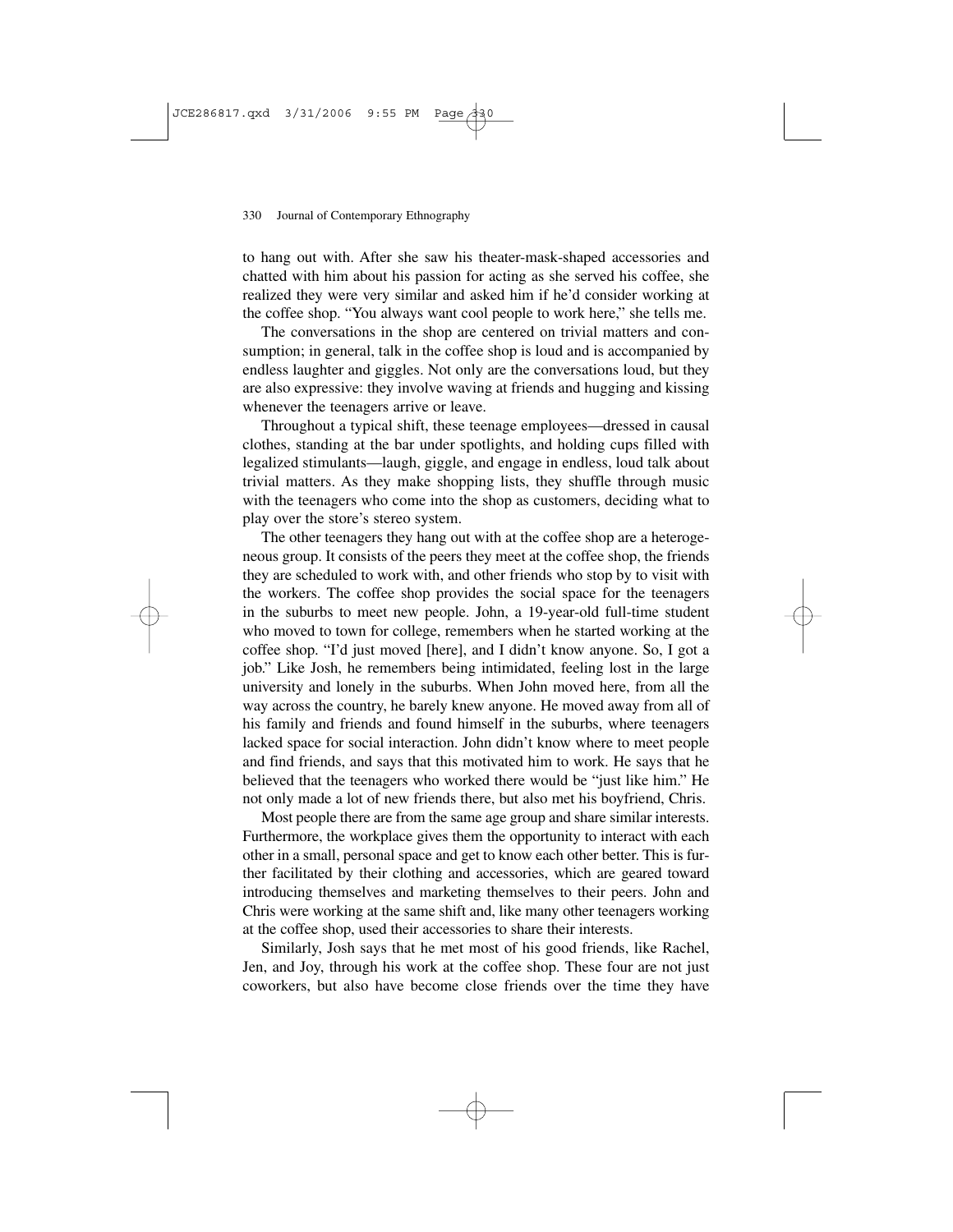to hang out with. After she saw his theater-mask-shaped accessories and chatted with him about his passion for acting as she served his coffee, she realized they were very similar and asked him if he'd consider working at the coffee shop. "You always want cool people to work here," she tells me.

The conversations in the shop are centered on trivial matters and consumption; in general, talk in the coffee shop is loud and is accompanied by endless laughter and giggles. Not only are the conversations loud, but they are also expressive: they involve waving at friends and hugging and kissing whenever the teenagers arrive or leave.

Throughout a typical shift, these teenage employees—dressed in causal clothes, standing at the bar under spotlights, and holding cups filled with legalized stimulants—laugh, giggle, and engage in endless, loud talk about trivial matters. As they make shopping lists, they shuffle through music with the teenagers who come into the shop as customers, deciding what to play over the store's stereo system.

The other teenagers they hang out with at the coffee shop are a heterogeneous group. It consists of the peers they meet at the coffee shop, the friends they are scheduled to work with, and other friends who stop by to visit with the workers. The coffee shop provides the social space for the teenagers in the suburbs to meet new people. John, a 19-year-old full-time student who moved to town for college, remembers when he started working at the coffee shop. "I'd just moved [here], and I didn't know anyone. So, I got a job." Like Josh, he remembers being intimidated, feeling lost in the large university and lonely in the suburbs. When John moved here, from all the way across the country, he barely knew anyone. He moved away from all of his family and friends and found himself in the suburbs, where teenagers lacked space for social interaction. John didn't know where to meet people and find friends, and says that this motivated him to work. He says that he believed that the teenagers who worked there would be "just like him." He not only made a lot of new friends there, but also met his boyfriend, Chris.

Most people there are from the same age group and share similar interests. Furthermore, the workplace gives them the opportunity to interact with each other in a small, personal space and get to know each other better. This is further facilitated by their clothing and accessories, which are geared toward introducing themselves and marketing themselves to their peers. John and Chris were working at the same shift and, like many other teenagers working at the coffee shop, used their accessories to share their interests.

Similarly, Josh says that he met most of his good friends, like Rachel, Jen, and Joy, through his work at the coffee shop. These four are not just coworkers, but also have become close friends over the time they have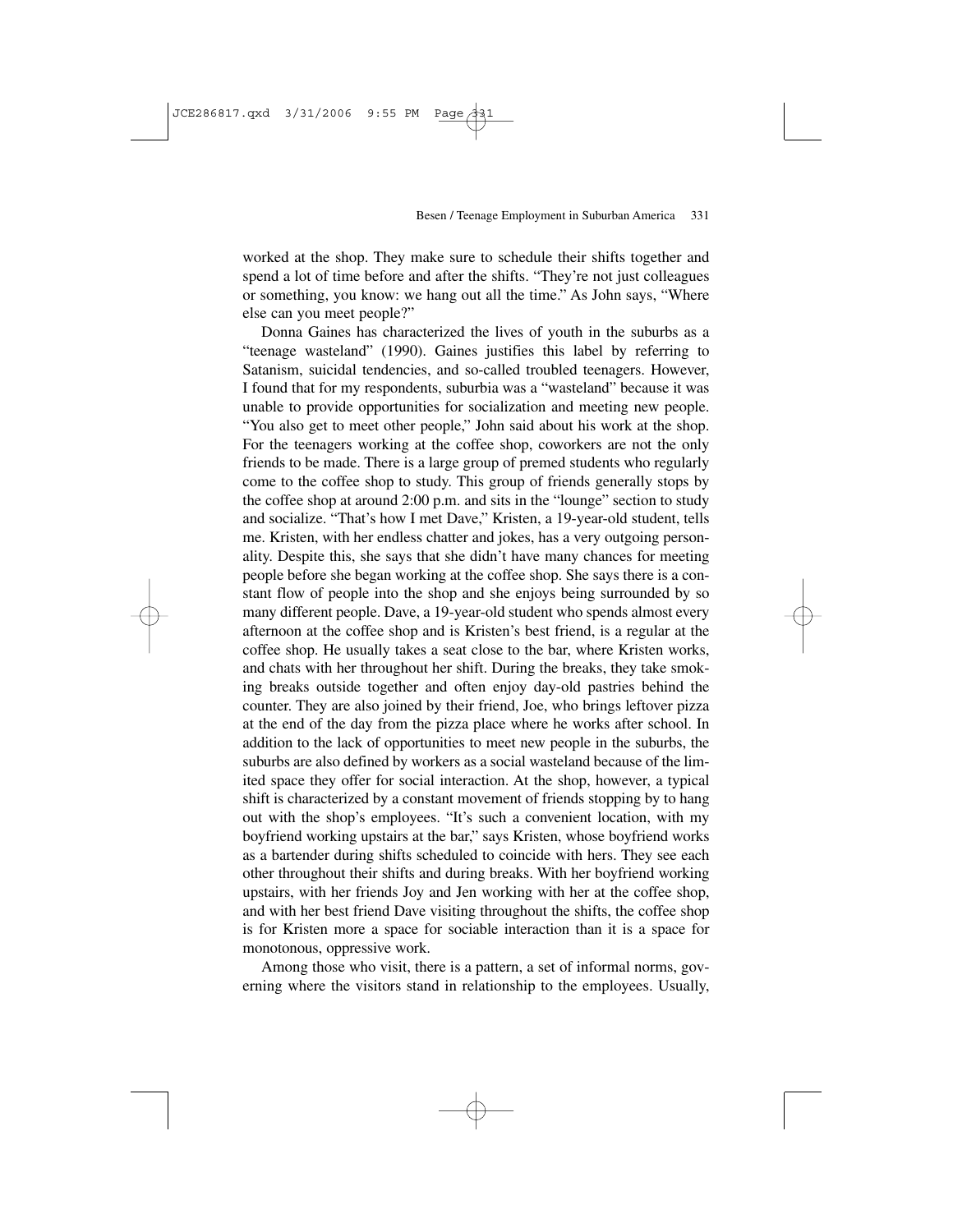worked at the shop. They make sure to schedule their shifts together and spend a lot of time before and after the shifts. "They're not just colleagues or something, you know: we hang out all the time." As John says, "Where else can you meet people?"

Donna Gaines has characterized the lives of youth in the suburbs as a "teenage wasteland" (1990). Gaines justifies this label by referring to Satanism, suicidal tendencies, and so-called troubled teenagers. However, I found that for my respondents, suburbia was a "wasteland" because it was unable to provide opportunities for socialization and meeting new people. "You also get to meet other people," John said about his work at the shop. For the teenagers working at the coffee shop, coworkers are not the only friends to be made. There is a large group of premed students who regularly come to the coffee shop to study. This group of friends generally stops by the coffee shop at around 2:00 p.m. and sits in the "lounge" section to study and socialize. "That's how I met Dave," Kristen, a 19-year-old student, tells me. Kristen, with her endless chatter and jokes, has a very outgoing personality. Despite this, she says that she didn't have many chances for meeting people before she began working at the coffee shop. She says there is a constant flow of people into the shop and she enjoys being surrounded by so many different people. Dave, a 19-year-old student who spends almost every afternoon at the coffee shop and is Kristen's best friend, is a regular at the coffee shop. He usually takes a seat close to the bar, where Kristen works, and chats with her throughout her shift. During the breaks, they take smoking breaks outside together and often enjoy day-old pastries behind the counter. They are also joined by their friend, Joe, who brings leftover pizza at the end of the day from the pizza place where he works after school. In addition to the lack of opportunities to meet new people in the suburbs, the suburbs are also defined by workers as a social wasteland because of the limited space they offer for social interaction. At the shop, however, a typical shift is characterized by a constant movement of friends stopping by to hang out with the shop's employees. "It's such a convenient location, with my boyfriend working upstairs at the bar," says Kristen, whose boyfriend works as a bartender during shifts scheduled to coincide with hers. They see each other throughout their shifts and during breaks. With her boyfriend working upstairs, with her friends Joy and Jen working with her at the coffee shop, and with her best friend Dave visiting throughout the shifts, the coffee shop is for Kristen more a space for sociable interaction than it is a space for monotonous, oppressive work.

Among those who visit, there is a pattern, a set of informal norms, governing where the visitors stand in relationship to the employees. Usually,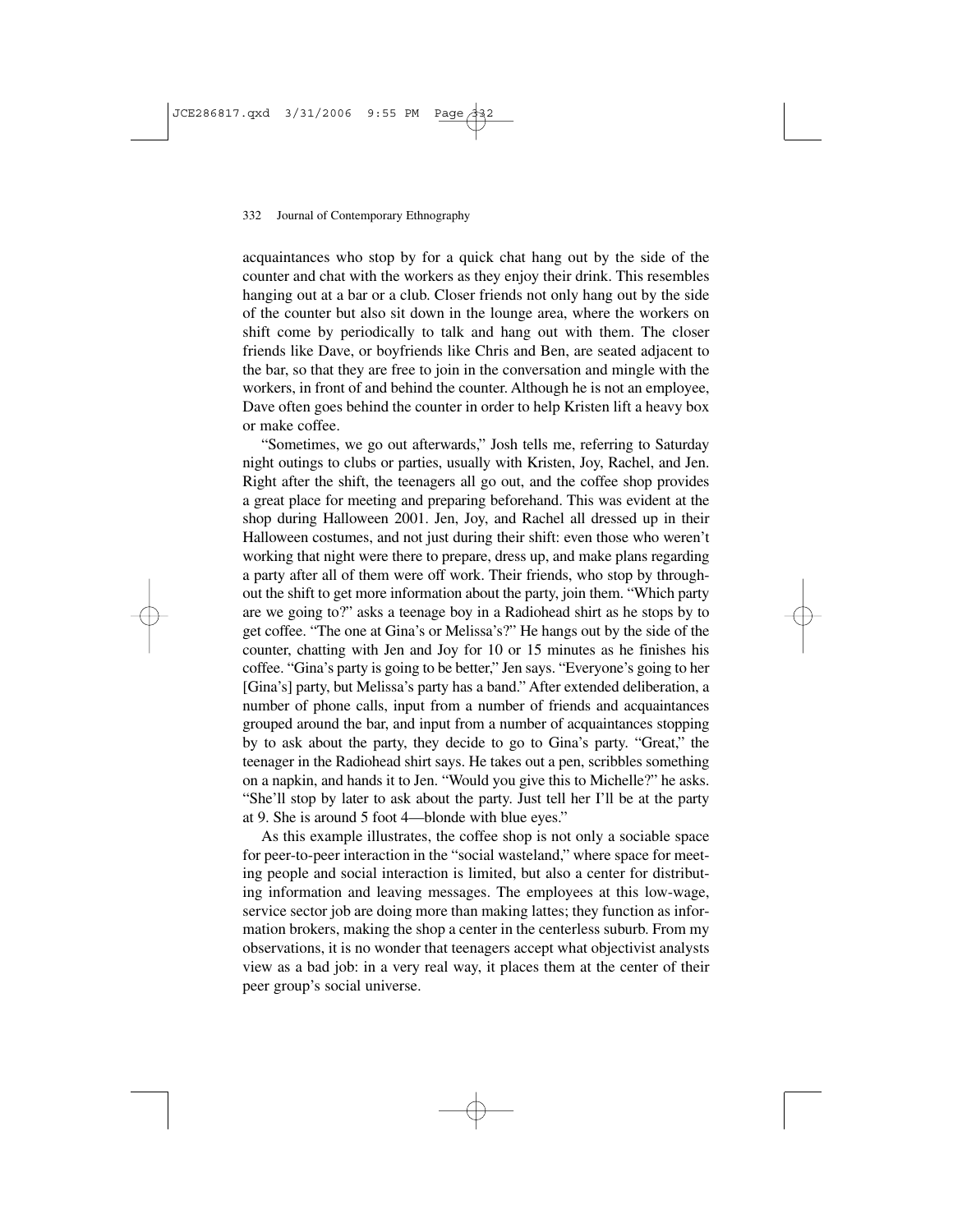acquaintances who stop by for a quick chat hang out by the side of the counter and chat with the workers as they enjoy their drink. This resembles hanging out at a bar or a club. Closer friends not only hang out by the side of the counter but also sit down in the lounge area, where the workers on shift come by periodically to talk and hang out with them. The closer friends like Dave, or boyfriends like Chris and Ben, are seated adjacent to the bar, so that they are free to join in the conversation and mingle with the workers, in front of and behind the counter. Although he is not an employee, Dave often goes behind the counter in order to help Kristen lift a heavy box or make coffee.

"Sometimes, we go out afterwards," Josh tells me, referring to Saturday night outings to clubs or parties, usually with Kristen, Joy, Rachel, and Jen. Right after the shift, the teenagers all go out, and the coffee shop provides a great place for meeting and preparing beforehand. This was evident at the shop during Halloween 2001. Jen, Joy, and Rachel all dressed up in their Halloween costumes, and not just during their shift: even those who weren't working that night were there to prepare, dress up, and make plans regarding a party after all of them were off work. Their friends, who stop by throughout the shift to get more information about the party, join them. "Which party are we going to?" asks a teenage boy in a Radiohead shirt as he stops by to get coffee. "The one at Gina's or Melissa's?" He hangs out by the side of the counter, chatting with Jen and Joy for 10 or 15 minutes as he finishes his coffee. "Gina's party is going to be better," Jen says. "Everyone's going to her [Gina's] party, but Melissa's party has a band." After extended deliberation, a number of phone calls, input from a number of friends and acquaintances grouped around the bar, and input from a number of acquaintances stopping by to ask about the party, they decide to go to Gina's party. "Great," the teenager in the Radiohead shirt says. He takes out a pen, scribbles something on a napkin, and hands it to Jen. "Would you give this to Michelle?" he asks. "She'll stop by later to ask about the party. Just tell her I'll be at the party at 9. She is around 5 foot 4—blonde with blue eyes."

As this example illustrates, the coffee shop is not only a sociable space for peer-to-peer interaction in the "social wasteland," where space for meeting people and social interaction is limited, but also a center for distributing information and leaving messages. The employees at this low-wage, service sector job are doing more than making lattes; they function as information brokers, making the shop a center in the centerless suburb. From my observations, it is no wonder that teenagers accept what objectivist analysts view as a bad job: in a very real way, it places them at the center of their peer group's social universe.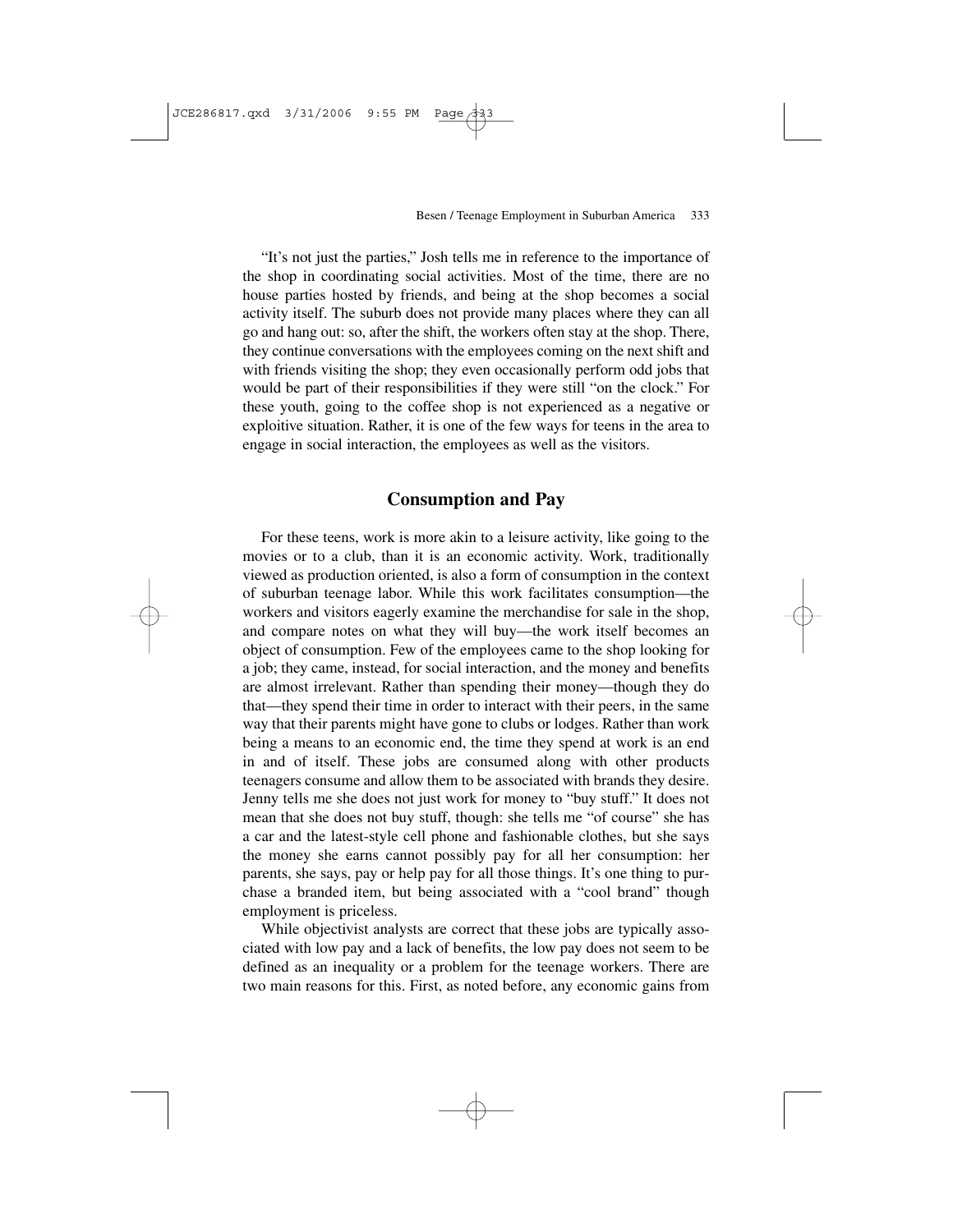"It's not just the parties," Josh tells me in reference to the importance of the shop in coordinating social activities. Most of the time, there are no house parties hosted by friends, and being at the shop becomes a social activity itself. The suburb does not provide many places where they can all go and hang out: so, after the shift, the workers often stay at the shop. There, they continue conversations with the employees coming on the next shift and with friends visiting the shop; they even occasionally perform odd jobs that would be part of their responsibilities if they were still "on the clock." For these youth, going to the coffee shop is not experienced as a negative or exploitive situation. Rather, it is one of the few ways for teens in the area to engage in social interaction, the employees as well as the visitors.

#### **Consumption and Pay**

For these teens, work is more akin to a leisure activity, like going to the movies or to a club, than it is an economic activity. Work, traditionally viewed as production oriented, is also a form of consumption in the context of suburban teenage labor. While this work facilitates consumption—the workers and visitors eagerly examine the merchandise for sale in the shop, and compare notes on what they will buy—the work itself becomes an object of consumption. Few of the employees came to the shop looking for a job; they came, instead, for social interaction, and the money and benefits are almost irrelevant. Rather than spending their money—though they do that—they spend their time in order to interact with their peers, in the same way that their parents might have gone to clubs or lodges. Rather than work being a means to an economic end, the time they spend at work is an end in and of itself. These jobs are consumed along with other products teenagers consume and allow them to be associated with brands they desire. Jenny tells me she does not just work for money to "buy stuff." It does not mean that she does not buy stuff, though: she tells me "of course" she has a car and the latest-style cell phone and fashionable clothes, but she says the money she earns cannot possibly pay for all her consumption: her parents, she says, pay or help pay for all those things. It's one thing to purchase a branded item, but being associated with a "cool brand" though employment is priceless.

While objectivist analysts are correct that these jobs are typically associated with low pay and a lack of benefits, the low pay does not seem to be defined as an inequality or a problem for the teenage workers. There are two main reasons for this. First, as noted before, any economic gains from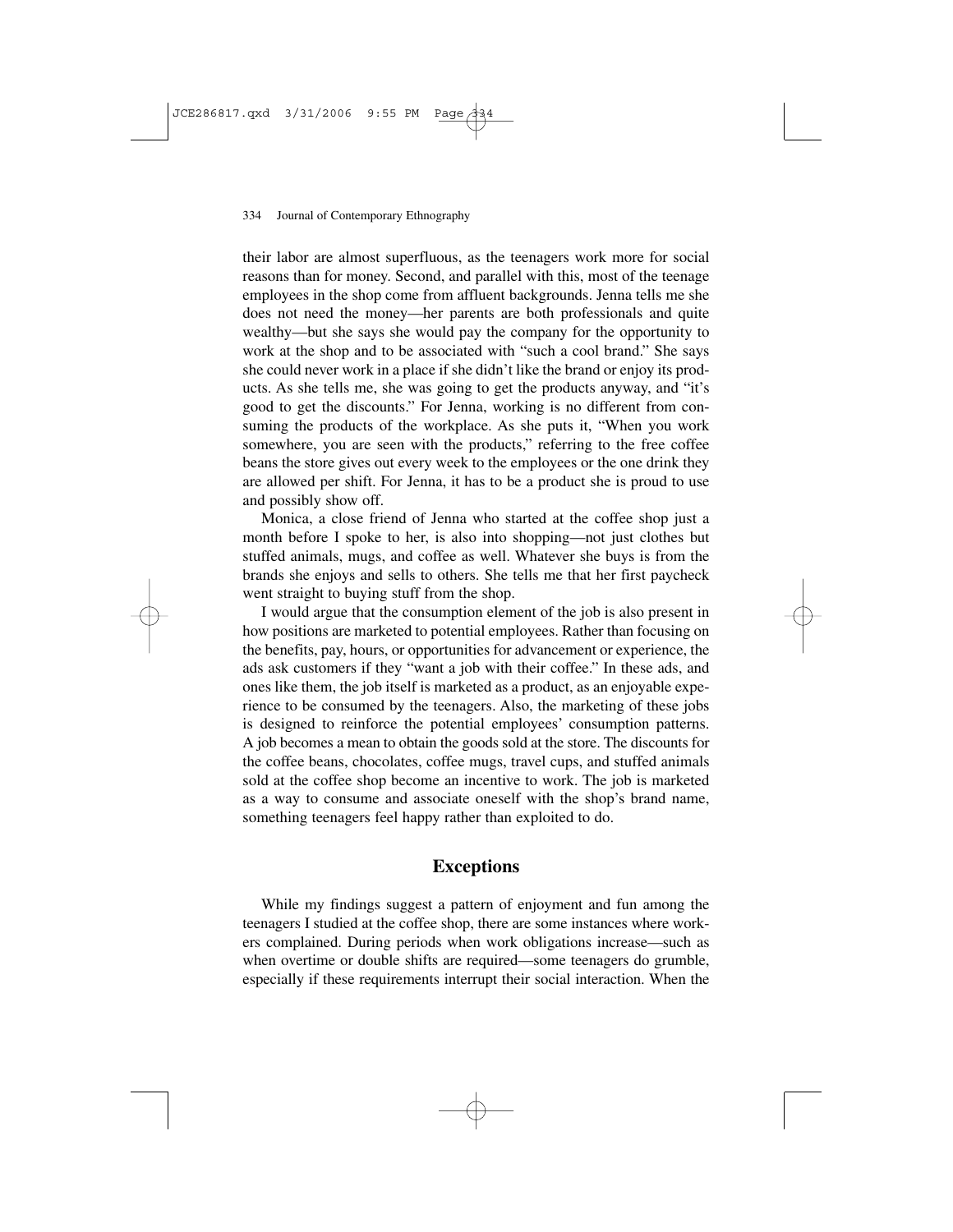their labor are almost superfluous, as the teenagers work more for social reasons than for money. Second, and parallel with this, most of the teenage employees in the shop come from affluent backgrounds. Jenna tells me she does not need the money—her parents are both professionals and quite wealthy—but she says she would pay the company for the opportunity to work at the shop and to be associated with "such a cool brand." She says she could never work in a place if she didn't like the brand or enjoy its products. As she tells me, she was going to get the products anyway, and "it's good to get the discounts." For Jenna, working is no different from consuming the products of the workplace. As she puts it, "When you work somewhere, you are seen with the products," referring to the free coffee beans the store gives out every week to the employees or the one drink they are allowed per shift. For Jenna, it has to be a product she is proud to use and possibly show off.

Monica, a close friend of Jenna who started at the coffee shop just a month before I spoke to her, is also into shopping—not just clothes but stuffed animals, mugs, and coffee as well. Whatever she buys is from the brands she enjoys and sells to others. She tells me that her first paycheck went straight to buying stuff from the shop.

I would argue that the consumption element of the job is also present in how positions are marketed to potential employees. Rather than focusing on the benefits, pay, hours, or opportunities for advancement or experience, the ads ask customers if they "want a job with their coffee." In these ads, and ones like them, the job itself is marketed as a product, as an enjoyable experience to be consumed by the teenagers. Also, the marketing of these jobs is designed to reinforce the potential employees' consumption patterns. A job becomes a mean to obtain the goods sold at the store. The discounts for the coffee beans, chocolates, coffee mugs, travel cups, and stuffed animals sold at the coffee shop become an incentive to work. The job is marketed as a way to consume and associate oneself with the shop's brand name, something teenagers feel happy rather than exploited to do.

#### **Exceptions**

While my findings suggest a pattern of enjoyment and fun among the teenagers I studied at the coffee shop, there are some instances where workers complained. During periods when work obligations increase—such as when overtime or double shifts are required—some teenagers do grumble, especially if these requirements interrupt their social interaction. When the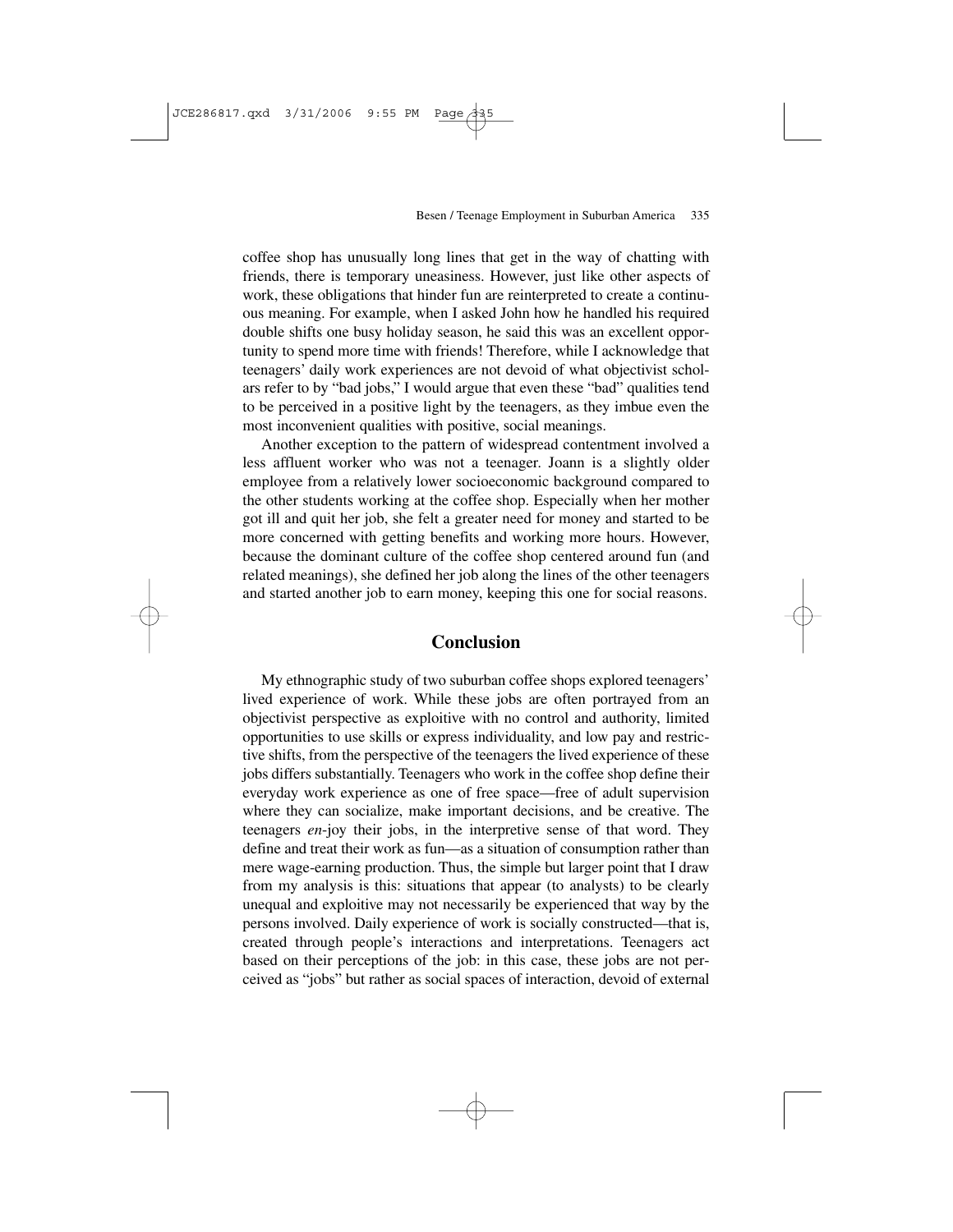coffee shop has unusually long lines that get in the way of chatting with friends, there is temporary uneasiness. However, just like other aspects of work, these obligations that hinder fun are reinterpreted to create a continuous meaning. For example, when I asked John how he handled his required double shifts one busy holiday season, he said this was an excellent opportunity to spend more time with friends! Therefore, while I acknowledge that teenagers' daily work experiences are not devoid of what objectivist scholars refer to by "bad jobs," I would argue that even these "bad" qualities tend to be perceived in a positive light by the teenagers, as they imbue even the most inconvenient qualities with positive, social meanings.

Another exception to the pattern of widespread contentment involved a less affluent worker who was not a teenager. Joann is a slightly older employee from a relatively lower socioeconomic background compared to the other students working at the coffee shop. Especially when her mother got ill and quit her job, she felt a greater need for money and started to be more concerned with getting benefits and working more hours. However, because the dominant culture of the coffee shop centered around fun (and related meanings), she defined her job along the lines of the other teenagers and started another job to earn money, keeping this one for social reasons.

#### **Conclusion**

My ethnographic study of two suburban coffee shops explored teenagers' lived experience of work. While these jobs are often portrayed from an objectivist perspective as exploitive with no control and authority, limited opportunities to use skills or express individuality, and low pay and restrictive shifts, from the perspective of the teenagers the lived experience of these jobs differs substantially. Teenagers who work in the coffee shop define their everyday work experience as one of free space—free of adult supervision where they can socialize, make important decisions, and be creative. The teenagers *en*-joy their jobs, in the interpretive sense of that word. They define and treat their work as fun—as a situation of consumption rather than mere wage-earning production. Thus, the simple but larger point that I draw from my analysis is this: situations that appear (to analysts) to be clearly unequal and exploitive may not necessarily be experienced that way by the persons involved. Daily experience of work is socially constructed—that is, created through people's interactions and interpretations. Teenagers act based on their perceptions of the job: in this case, these jobs are not perceived as "jobs" but rather as social spaces of interaction, devoid of external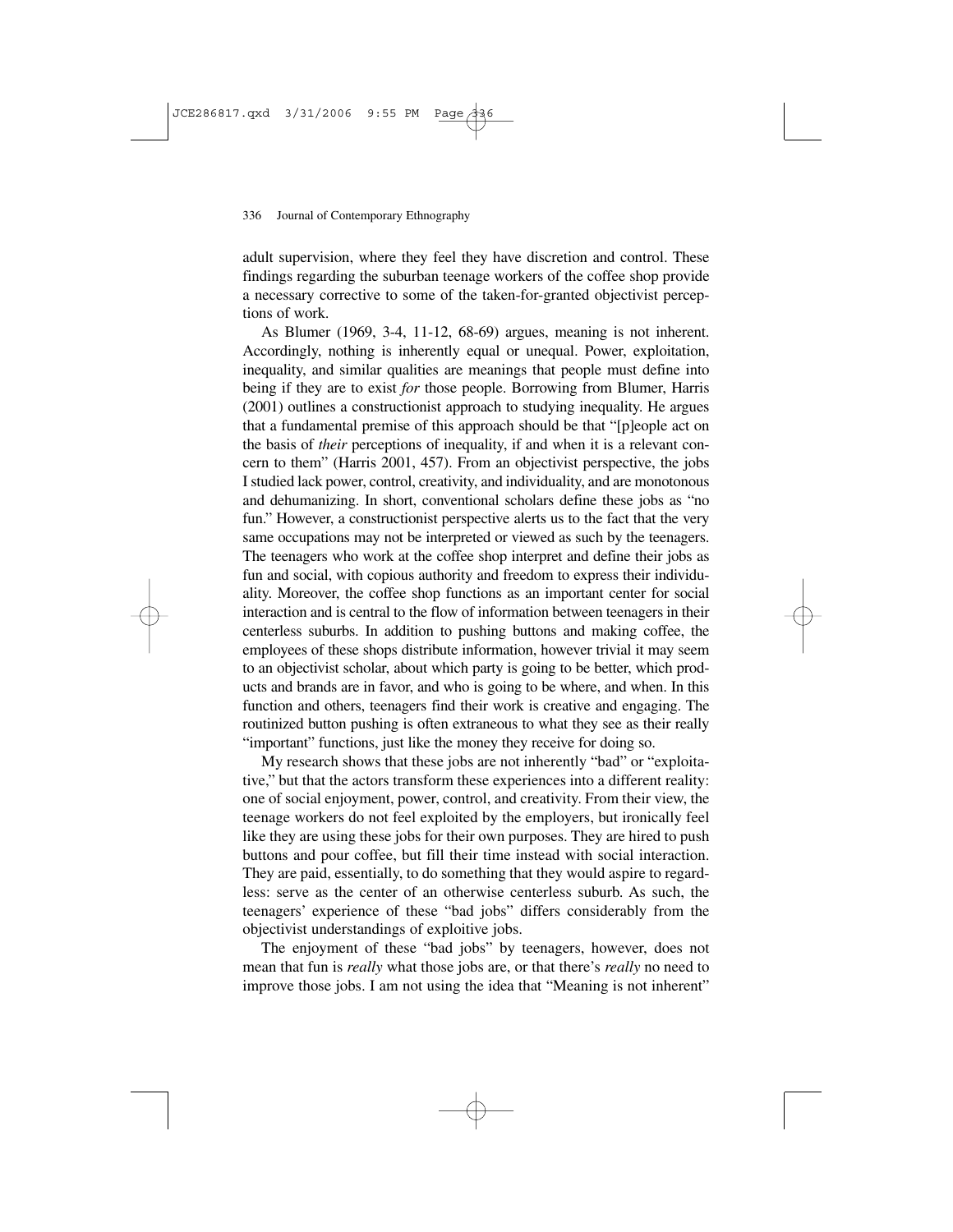adult supervision, where they feel they have discretion and control. These findings regarding the suburban teenage workers of the coffee shop provide a necessary corrective to some of the taken-for-granted objectivist perceptions of work.

As Blumer (1969, 3-4, 11-12, 68-69) argues, meaning is not inherent. Accordingly, nothing is inherently equal or unequal. Power, exploitation, inequality, and similar qualities are meanings that people must define into being if they are to exist *for* those people. Borrowing from Blumer, Harris (2001) outlines a constructionist approach to studying inequality. He argues that a fundamental premise of this approach should be that "[p]eople act on the basis of *their* perceptions of inequality, if and when it is a relevant concern to them" (Harris 2001, 457). From an objectivist perspective, the jobs I studied lack power, control, creativity, and individuality, and are monotonous and dehumanizing. In short, conventional scholars define these jobs as "no fun." However, a constructionist perspective alerts us to the fact that the very same occupations may not be interpreted or viewed as such by the teenagers. The teenagers who work at the coffee shop interpret and define their jobs as fun and social, with copious authority and freedom to express their individuality. Moreover, the coffee shop functions as an important center for social interaction and is central to the flow of information between teenagers in their centerless suburbs. In addition to pushing buttons and making coffee, the employees of these shops distribute information, however trivial it may seem to an objectivist scholar, about which party is going to be better, which products and brands are in favor, and who is going to be where, and when. In this function and others, teenagers find their work is creative and engaging. The routinized button pushing is often extraneous to what they see as their really "important" functions, just like the money they receive for doing so.

My research shows that these jobs are not inherently "bad" or "exploitative," but that the actors transform these experiences into a different reality: one of social enjoyment, power, control, and creativity. From their view, the teenage workers do not feel exploited by the employers, but ironically feel like they are using these jobs for their own purposes. They are hired to push buttons and pour coffee, but fill their time instead with social interaction. They are paid, essentially, to do something that they would aspire to regardless: serve as the center of an otherwise centerless suburb. As such, the teenagers' experience of these "bad jobs" differs considerably from the objectivist understandings of exploitive jobs.

The enjoyment of these "bad jobs" by teenagers, however, does not mean that fun is *really* what those jobs are, or that there's *really* no need to improve those jobs. I am not using the idea that "Meaning is not inherent"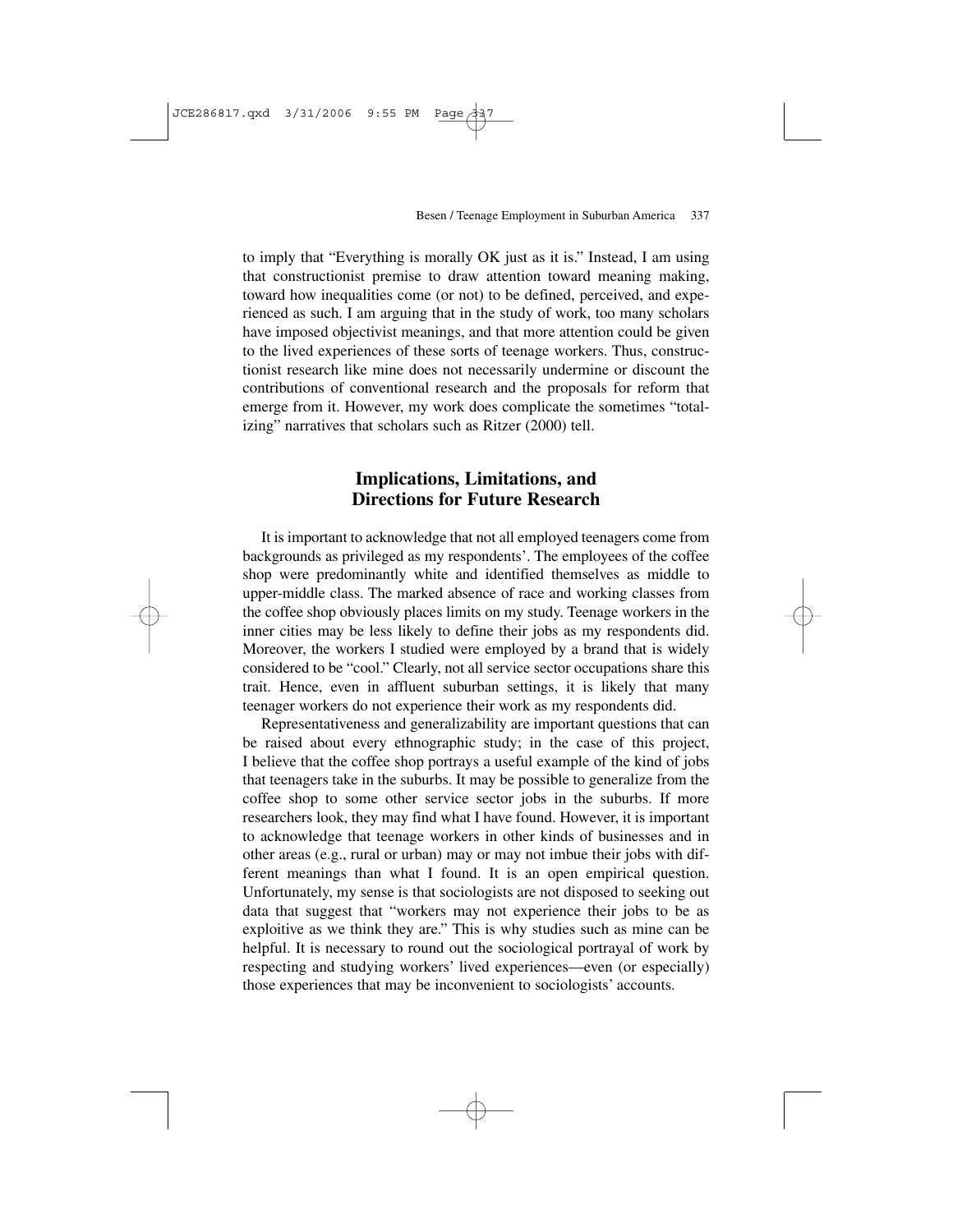to imply that "Everything is morally OK just as it is." Instead, I am using that constructionist premise to draw attention toward meaning making, toward how inequalities come (or not) to be defined, perceived, and experienced as such. I am arguing that in the study of work, too many scholars have imposed objectivist meanings, and that more attention could be given to the lived experiences of these sorts of teenage workers. Thus, constructionist research like mine does not necessarily undermine or discount the contributions of conventional research and the proposals for reform that emerge from it. However, my work does complicate the sometimes "totalizing" narratives that scholars such as Ritzer (2000) tell.

#### **Implications, Limitations, and Directions for Future Research**

It is important to acknowledge that not all employed teenagers come from backgrounds as privileged as my respondents'. The employees of the coffee shop were predominantly white and identified themselves as middle to upper-middle class. The marked absence of race and working classes from the coffee shop obviously places limits on my study. Teenage workers in the inner cities may be less likely to define their jobs as my respondents did. Moreover, the workers I studied were employed by a brand that is widely considered to be "cool." Clearly, not all service sector occupations share this trait. Hence, even in affluent suburban settings, it is likely that many teenager workers do not experience their work as my respondents did.

Representativeness and generalizability are important questions that can be raised about every ethnographic study; in the case of this project, I believe that the coffee shop portrays a useful example of the kind of jobs that teenagers take in the suburbs. It may be possible to generalize from the coffee shop to some other service sector jobs in the suburbs. If more researchers look, they may find what I have found. However, it is important to acknowledge that teenage workers in other kinds of businesses and in other areas (e.g., rural or urban) may or may not imbue their jobs with different meanings than what I found. It is an open empirical question. Unfortunately, my sense is that sociologists are not disposed to seeking out data that suggest that "workers may not experience their jobs to be as exploitive as we think they are." This is why studies such as mine can be helpful. It is necessary to round out the sociological portrayal of work by respecting and studying workers' lived experiences—even (or especially) those experiences that may be inconvenient to sociologists' accounts.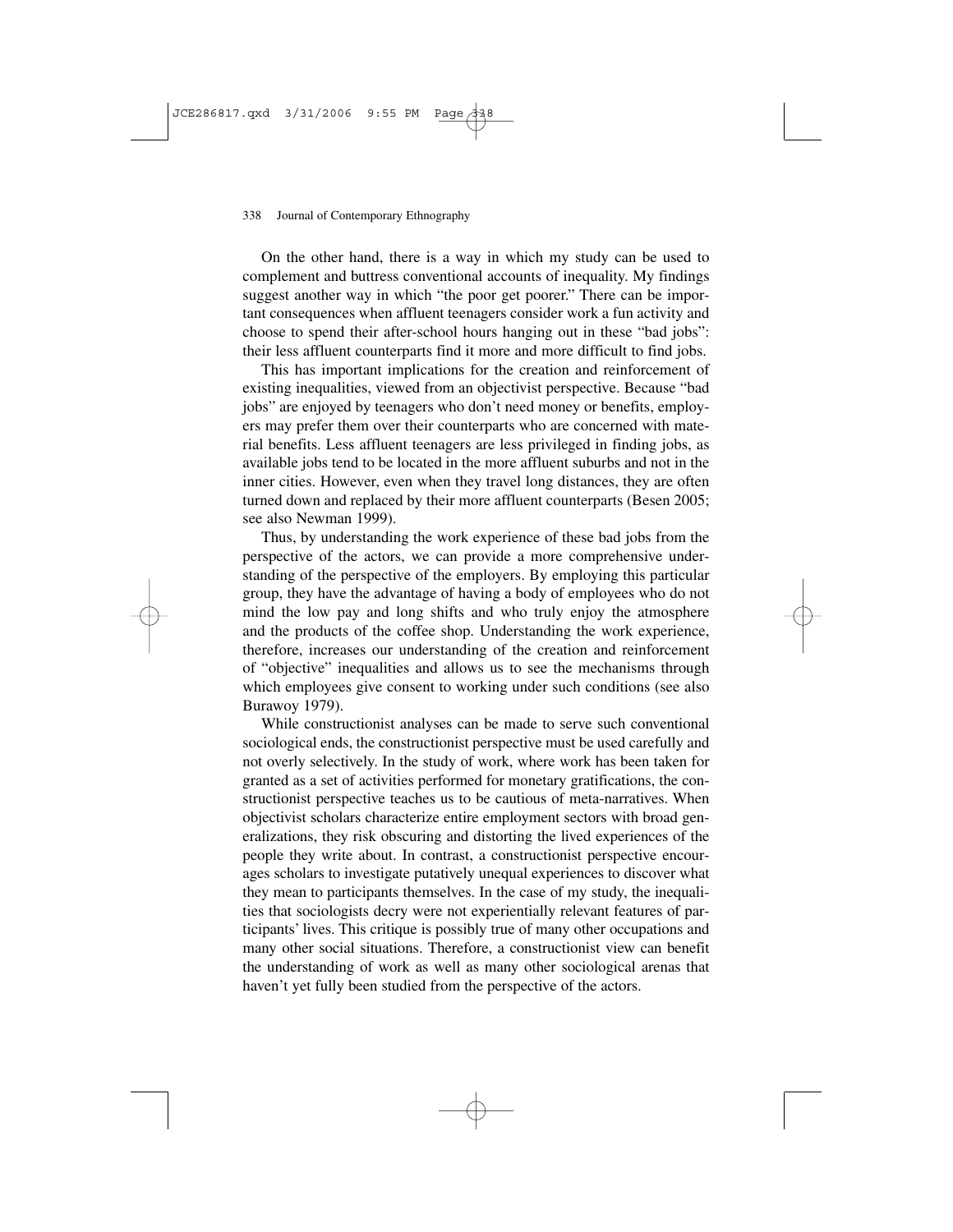On the other hand, there is a way in which my study can be used to complement and buttress conventional accounts of inequality. My findings suggest another way in which "the poor get poorer." There can be important consequences when affluent teenagers consider work a fun activity and choose to spend their after-school hours hanging out in these "bad jobs": their less affluent counterparts find it more and more difficult to find jobs.

This has important implications for the creation and reinforcement of existing inequalities, viewed from an objectivist perspective. Because "bad jobs" are enjoyed by teenagers who don't need money or benefits, employers may prefer them over their counterparts who are concerned with material benefits. Less affluent teenagers are less privileged in finding jobs, as available jobs tend to be located in the more affluent suburbs and not in the inner cities. However, even when they travel long distances, they are often turned down and replaced by their more affluent counterparts (Besen 2005; see also Newman 1999).

Thus, by understanding the work experience of these bad jobs from the perspective of the actors, we can provide a more comprehensive understanding of the perspective of the employers. By employing this particular group, they have the advantage of having a body of employees who do not mind the low pay and long shifts and who truly enjoy the atmosphere and the products of the coffee shop. Understanding the work experience, therefore, increases our understanding of the creation and reinforcement of "objective" inequalities and allows us to see the mechanisms through which employees give consent to working under such conditions (see also Burawoy 1979).

While constructionist analyses can be made to serve such conventional sociological ends, the constructionist perspective must be used carefully and not overly selectively. In the study of work, where work has been taken for granted as a set of activities performed for monetary gratifications, the constructionist perspective teaches us to be cautious of meta-narratives. When objectivist scholars characterize entire employment sectors with broad generalizations, they risk obscuring and distorting the lived experiences of the people they write about. In contrast, a constructionist perspective encourages scholars to investigate putatively unequal experiences to discover what they mean to participants themselves. In the case of my study, the inequalities that sociologists decry were not experientially relevant features of participants' lives. This critique is possibly true of many other occupations and many other social situations. Therefore, a constructionist view can benefit the understanding of work as well as many other sociological arenas that haven't yet fully been studied from the perspective of the actors.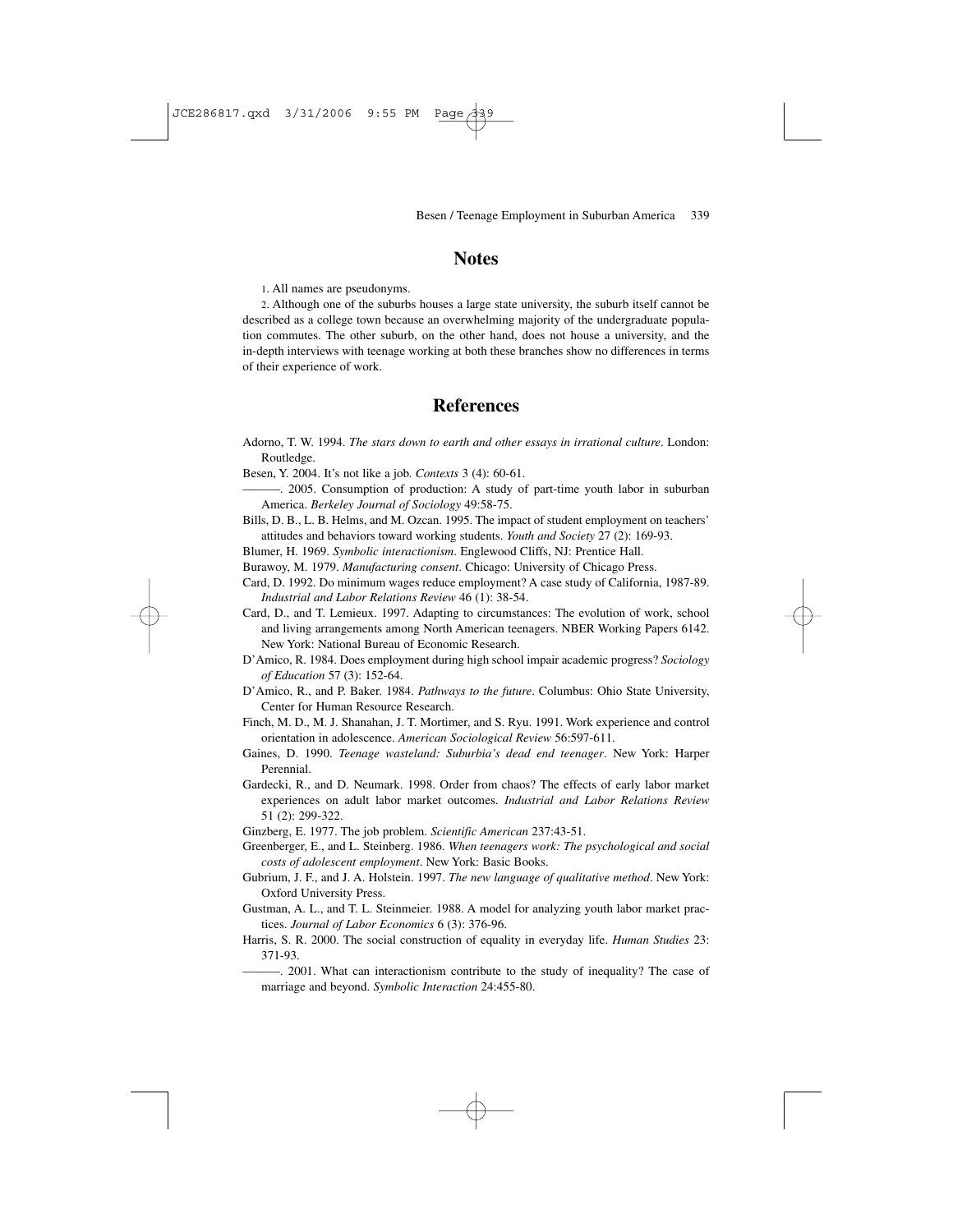#### **Notes**

1. All names are pseudonyms.

2. Although one of the suburbs houses a large state university, the suburb itself cannot be described as a college town because an overwhelming majority of the undergraduate population commutes. The other suburb, on the other hand, does not house a university, and the in-depth interviews with teenage working at both these branches show no differences in terms of their experience of work.

#### **References**

- Adorno, T. W. 1994. *The stars down to earth and other essays in irrational culture*. London: Routledge.
- Besen, Y. 2004. It's not like a job. *Contexts* 3 (4): 60-61.
- ———. 2005. Consumption of production: A study of part-time youth labor in suburban America. *Berkeley Journal of Sociology* 49:58-75.
- Bills, D. B., L. B. Helms, and M. Ozcan. 1995. The impact of student employment on teachers' attitudes and behaviors toward working students. *Youth and Society* 27 (2): 169-93.
- Blumer, H. 1969. *Symbolic interactionism*. Englewood Cliffs, NJ: Prentice Hall.
- Burawoy, M. 1979. *Manufacturing consent*. Chicago: University of Chicago Press.
- Card, D. 1992. Do minimum wages reduce employment? A case study of California, 1987-89. *Industrial and Labor Relations Review* 46 (1): 38-54.
- Card, D., and T. Lemieux. 1997. Adapting to circumstances: The evolution of work, school and living arrangements among North American teenagers. NBER Working Papers 6142. New York: National Bureau of Economic Research.
- D'Amico, R. 1984. Does employment during high school impair academic progress? *Sociology of Education* 57 (3): 152-64.
- D'Amico, R., and P. Baker. 1984. *Pathways to the future*. Columbus: Ohio State University, Center for Human Resource Research.
- Finch, M. D., M. J. Shanahan, J. T. Mortimer, and S. Ryu. 1991. Work experience and control orientation in adolescence. *American Sociological Review* 56:597-611.
- Gaines, D. 1990. *Teenage wasteland: Suburbia's dead end teenager*. New York: Harper Perennial.
- Gardecki, R., and D. Neumark. 1998. Order from chaos? The effects of early labor market experiences on adult labor market outcomes. *Industrial and Labor Relations Review* 51 (2): 299-322.
- Ginzberg, E. 1977. The job problem. *Scientific American* 237:43-51.
- Greenberger, E., and L. Steinberg. 1986. *When teenagers work: The psychological and social costs of adolescent employment*. New York: Basic Books.
- Gubrium, J. F., and J. A. Holstein. 1997. *The new language of qualitative method*. New York: Oxford University Press.
- Gustman, A. L., and T. L. Steinmeier. 1988. A model for analyzing youth labor market practices. *Journal of Labor Economics* 6 (3): 376-96.
- Harris, S. R. 2000. The social construction of equality in everyday life. *Human Studies* 23: 371-93.
	- ———. 2001. What can interactionism contribute to the study of inequality? The case of marriage and beyond. *Symbolic Interaction* 24:455-80.